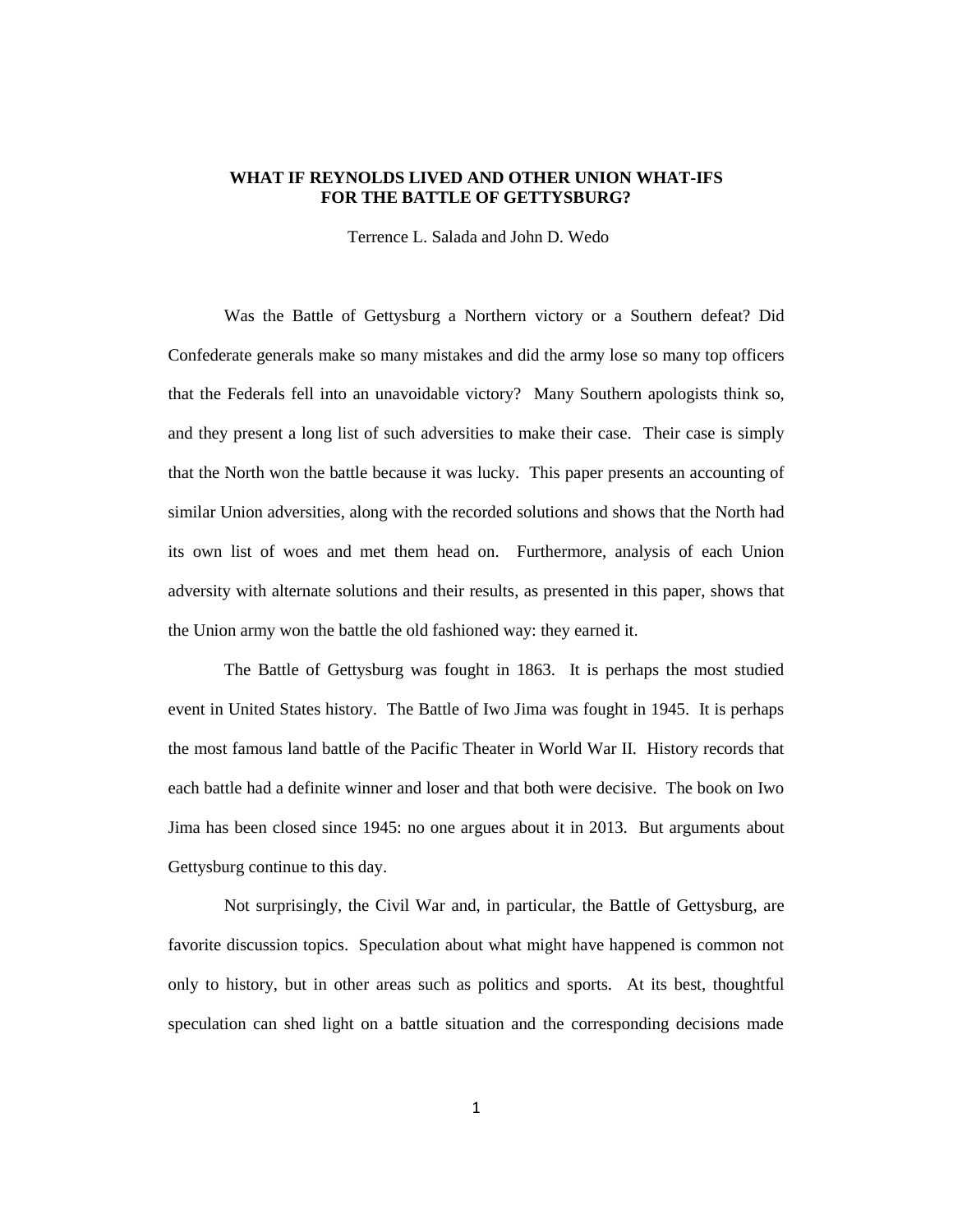# **WHAT IF REYNOLDS LIVED AND OTHER UNION WHAT-IFS FOR THE BATTLE OF GETTYSBURG?**

Terrence L. Salada and John D. Wedo

Was the Battle of Gettysburg a Northern victory or a Southern defeat? Did Confederate generals make so many mistakes and did the army lose so many top officers that the Federals fell into an unavoidable victory? Many Southern apologists think so, and they present a long list of such adversities to make their case. Their case is simply that the North won the battle because it was lucky. This paper presents an accounting of similar Union adversities, along with the recorded solutions and shows that the North had its own list of woes and met them head on. Furthermore, analysis of each Union adversity with alternate solutions and their results, as presented in this paper, shows that the Union army won the battle the old fashioned way: they earned it.

The Battle of Gettysburg was fought in 1863. It is perhaps the most studied event in United States history. The Battle of Iwo Jima was fought in 1945. It is perhaps the most famous land battle of the Pacific Theater in World War II. History records that each battle had a definite winner and loser and that both were decisive. The book on Iwo Jima has been closed since 1945: no one argues about it in 2013. But arguments about Gettysburg continue to this day.

Not surprisingly, the Civil War and, in particular, the Battle of Gettysburg, are favorite discussion topics. Speculation about what might have happened is common not only to history, but in other areas such as politics and sports. At its best, thoughtful speculation can shed light on a battle situation and the corresponding decisions made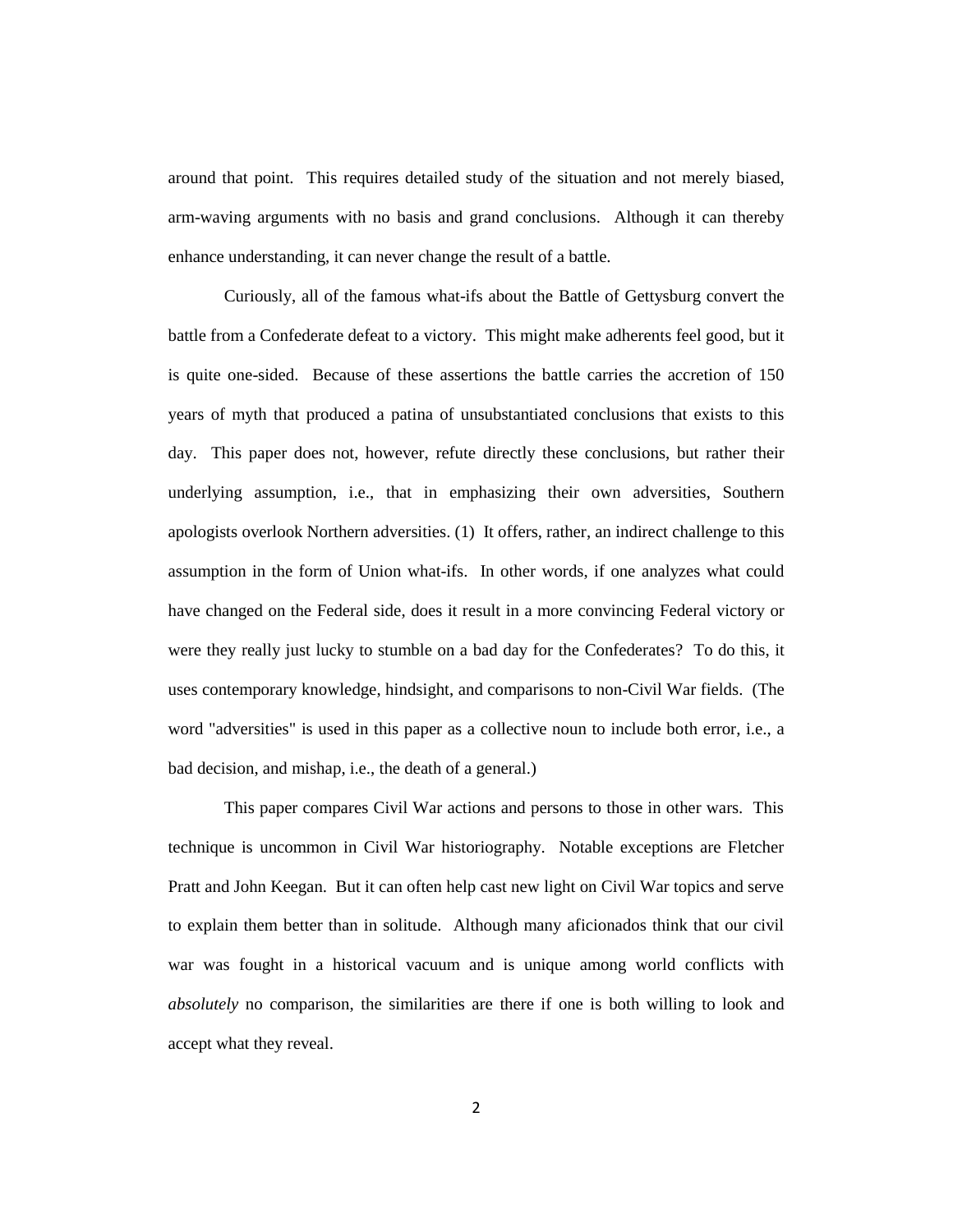around that point. This requires detailed study of the situation and not merely biased, arm-waving arguments with no basis and grand conclusions. Although it can thereby enhance understanding, it can never change the result of a battle.

Curiously, all of the famous what-ifs about the Battle of Gettysburg convert the battle from a Confederate defeat to a victory. This might make adherents feel good, but it is quite one-sided. Because of these assertions the battle carries the accretion of 150 years of myth that produced a patina of unsubstantiated conclusions that exists to this day. This paper does not, however, refute directly these conclusions, but rather their underlying assumption, i.e., that in emphasizing their own adversities, Southern apologists overlook Northern adversities. (1) It offers, rather, an indirect challenge to this assumption in the form of Union what-ifs. In other words, if one analyzes what could have changed on the Federal side, does it result in a more convincing Federal victory or were they really just lucky to stumble on a bad day for the Confederates? To do this, it uses contemporary knowledge, hindsight, and comparisons to non-Civil War fields. (The word "adversities" is used in this paper as a collective noun to include both error, i.e., a bad decision, and mishap, i.e., the death of a general.)

This paper compares Civil War actions and persons to those in other wars. This technique is uncommon in Civil War historiography. Notable exceptions are Fletcher Pratt and John Keegan. But it can often help cast new light on Civil War topics and serve to explain them better than in solitude. Although many aficionados think that our civil war was fought in a historical vacuum and is unique among world conflicts with *absolutely* no comparison, the similarities are there if one is both willing to look and accept what they reveal.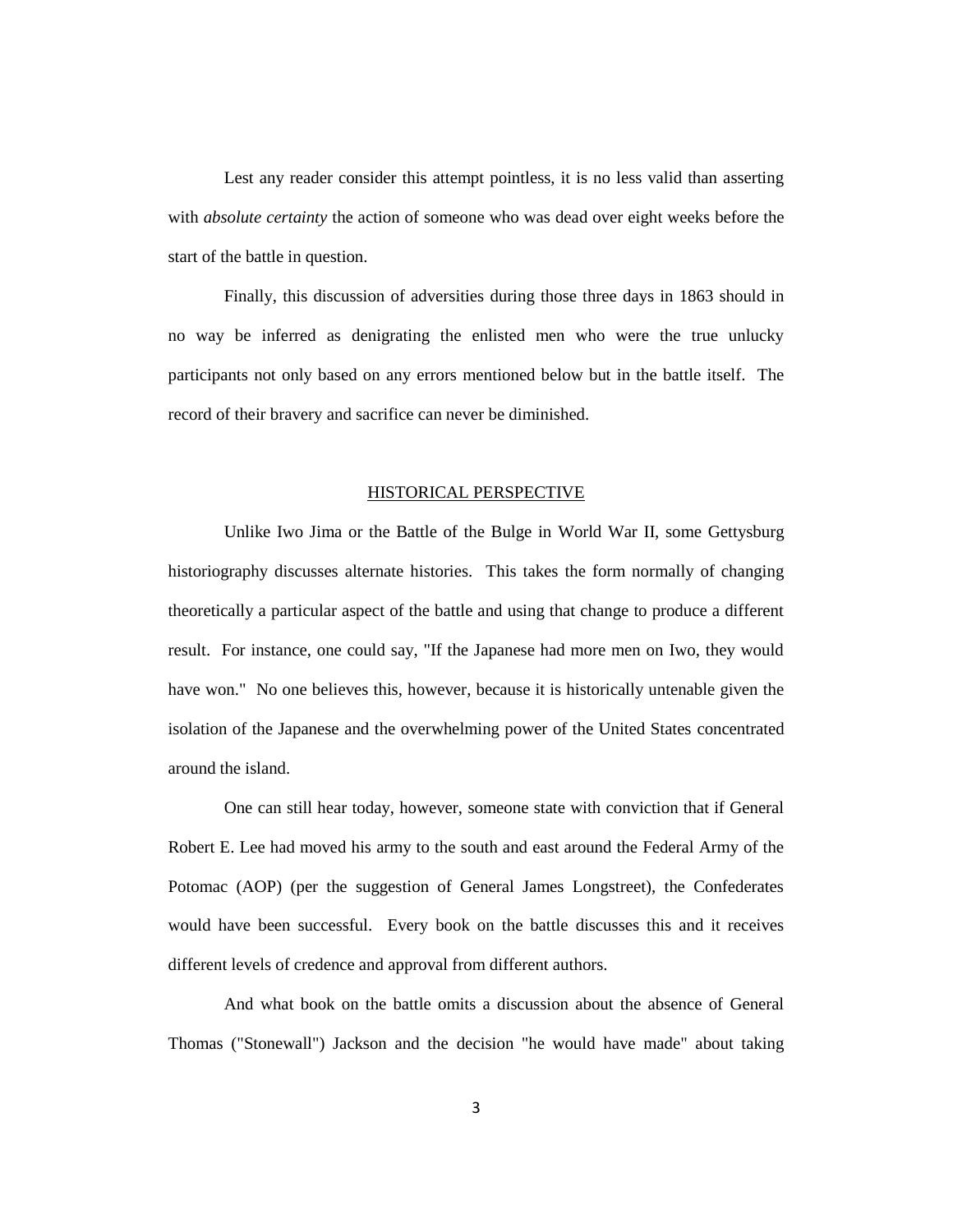Lest any reader consider this attempt pointless, it is no less valid than asserting with *absolute certainty* the action of someone who was dead over eight weeks before the start of the battle in question.

Finally, this discussion of adversities during those three days in 1863 should in no way be inferred as denigrating the enlisted men who were the true unlucky participants not only based on any errors mentioned below but in the battle itself. The record of their bravery and sacrifice can never be diminished.

#### HISTORICAL PERSPECTIVE

Unlike Iwo Jima or the Battle of the Bulge in World War II, some Gettysburg historiography discusses alternate histories. This takes the form normally of changing theoretically a particular aspect of the battle and using that change to produce a different result. For instance, one could say, "If the Japanese had more men on Iwo, they would have won." No one believes this, however, because it is historically untenable given the isolation of the Japanese and the overwhelming power of the United States concentrated around the island.

One can still hear today, however, someone state with conviction that if General Robert E. Lee had moved his army to the south and east around the Federal Army of the Potomac (AOP) (per the suggestion of General James Longstreet), the Confederates would have been successful. Every book on the battle discusses this and it receives different levels of credence and approval from different authors.

And what book on the battle omits a discussion about the absence of General Thomas ("Stonewall") Jackson and the decision "he would have made" about taking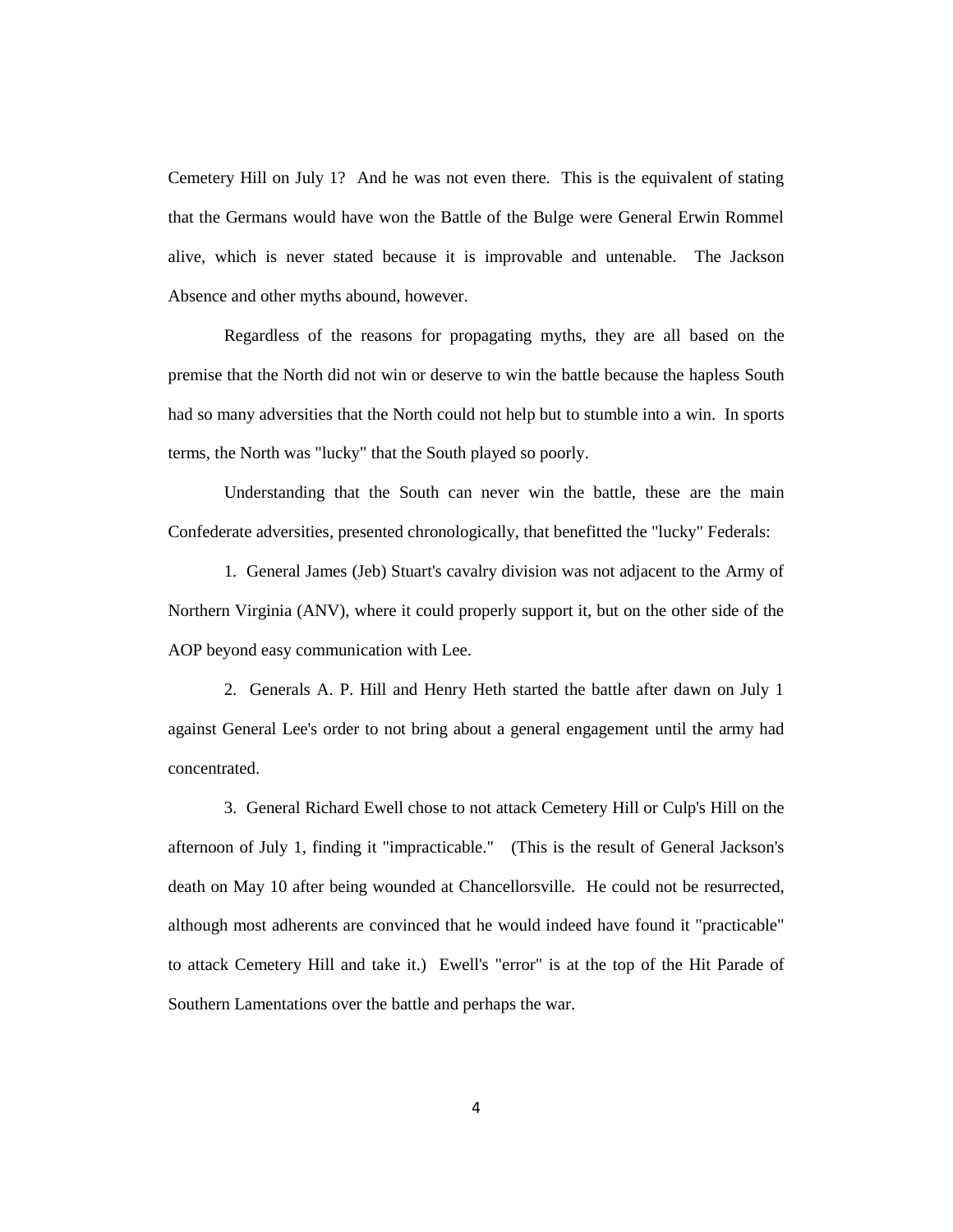Cemetery Hill on July 1? And he was not even there. This is the equivalent of stating that the Germans would have won the Battle of the Bulge were General Erwin Rommel alive, which is never stated because it is improvable and untenable. The Jackson Absence and other myths abound, however.

Regardless of the reasons for propagating myths, they are all based on the premise that the North did not win or deserve to win the battle because the hapless South had so many adversities that the North could not help but to stumble into a win. In sports terms, the North was "lucky" that the South played so poorly.

Understanding that the South can never win the battle, these are the main Confederate adversities, presented chronologically, that benefitted the "lucky" Federals:

1. General James (Jeb) Stuart's cavalry division was not adjacent to the Army of Northern Virginia (ANV), where it could properly support it, but on the other side of the AOP beyond easy communication with Lee.

2. Generals A. P. Hill and Henry Heth started the battle after dawn on July 1 against General Lee's order to not bring about a general engagement until the army had concentrated.

3. General Richard Ewell chose to not attack Cemetery Hill or Culp's Hill on the afternoon of July 1, finding it "impracticable." (This is the result of General Jackson's death on May 10 after being wounded at Chancellorsville. He could not be resurrected, although most adherents are convinced that he would indeed have found it "practicable" to attack Cemetery Hill and take it.) Ewell's "error" is at the top of the Hit Parade of Southern Lamentations over the battle and perhaps the war.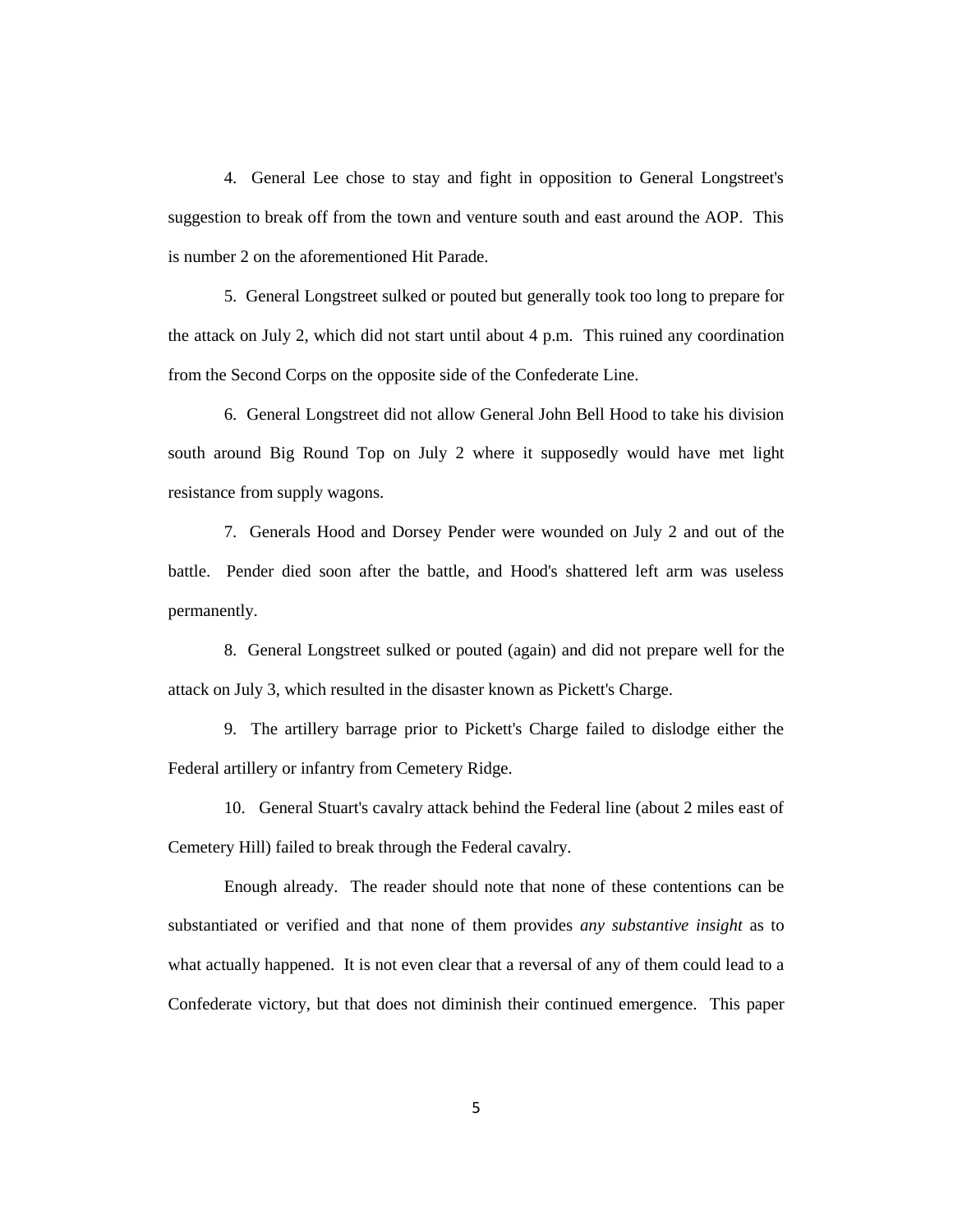4. General Lee chose to stay and fight in opposition to General Longstreet's suggestion to break off from the town and venture south and east around the AOP. This is number 2 on the aforementioned Hit Parade.

5. General Longstreet sulked or pouted but generally took too long to prepare for the attack on July 2, which did not start until about 4 p.m. This ruined any coordination from the Second Corps on the opposite side of the Confederate Line.

6. General Longstreet did not allow General John Bell Hood to take his division south around Big Round Top on July 2 where it supposedly would have met light resistance from supply wagons.

7. Generals Hood and Dorsey Pender were wounded on July 2 and out of the battle. Pender died soon after the battle, and Hood's shattered left arm was useless permanently.

8. General Longstreet sulked or pouted (again) and did not prepare well for the attack on July 3, which resulted in the disaster known as Pickett's Charge.

9. The artillery barrage prior to Pickett's Charge failed to dislodge either the Federal artillery or infantry from Cemetery Ridge.

10. General Stuart's cavalry attack behind the Federal line (about 2 miles east of Cemetery Hill) failed to break through the Federal cavalry.

Enough already. The reader should note that none of these contentions can be substantiated or verified and that none of them provides *any substantive insight* as to what actually happened. It is not even clear that a reversal of any of them could lead to a Confederate victory, but that does not diminish their continued emergence. This paper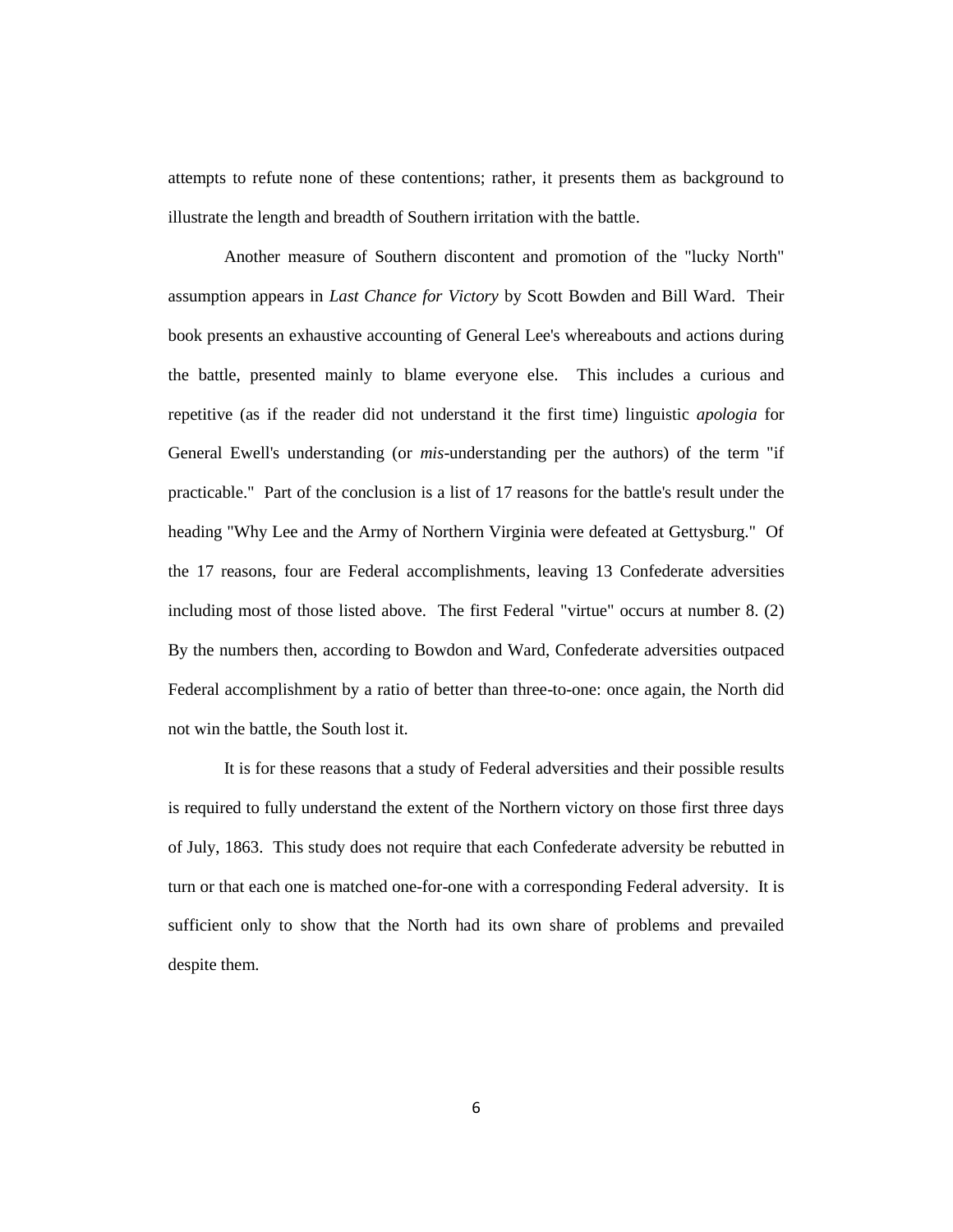attempts to refute none of these contentions; rather, it presents them as background to illustrate the length and breadth of Southern irritation with the battle.

Another measure of Southern discontent and promotion of the "lucky North" assumption appears in *Last Chance for Victory* by Scott Bowden and Bill Ward. Their book presents an exhaustive accounting of General Lee's whereabouts and actions during the battle, presented mainly to blame everyone else. This includes a curious and repetitive (as if the reader did not understand it the first time) linguistic *apologia* for General Ewell's understanding (or *mis*-understanding per the authors) of the term "if practicable." Part of the conclusion is a list of 17 reasons for the battle's result under the heading "Why Lee and the Army of Northern Virginia were defeated at Gettysburg." Of the 17 reasons, four are Federal accomplishments, leaving 13 Confederate adversities including most of those listed above. The first Federal "virtue" occurs at number 8. (2) By the numbers then, according to Bowdon and Ward, Confederate adversities outpaced Federal accomplishment by a ratio of better than three-to-one: once again, the North did not win the battle, the South lost it.

It is for these reasons that a study of Federal adversities and their possible results is required to fully understand the extent of the Northern victory on those first three days of July, 1863. This study does not require that each Confederate adversity be rebutted in turn or that each one is matched one-for-one with a corresponding Federal adversity. It is sufficient only to show that the North had its own share of problems and prevailed despite them.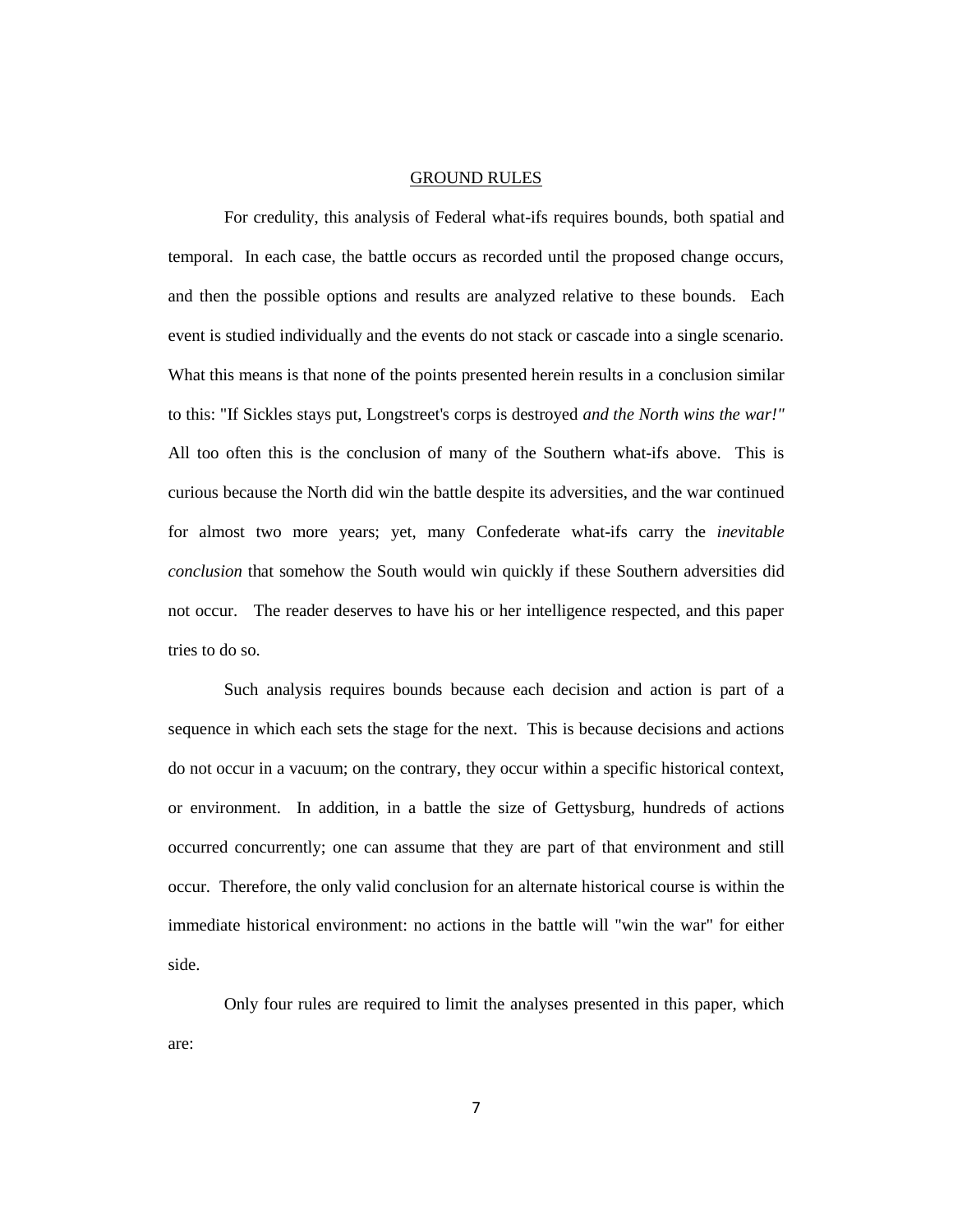#### GROUND RULES

For credulity, this analysis of Federal what-ifs requires bounds, both spatial and temporal. In each case, the battle occurs as recorded until the proposed change occurs, and then the possible options and results are analyzed relative to these bounds. Each event is studied individually and the events do not stack or cascade into a single scenario. What this means is that none of the points presented herein results in a conclusion similar to this: "If Sickles stays put, Longstreet's corps is destroyed *and the North wins the war!"*  All too often this is the conclusion of many of the Southern what-ifs above. This is curious because the North did win the battle despite its adversities, and the war continued for almost two more years; yet, many Confederate what-ifs carry the *inevitable conclusion* that somehow the South would win quickly if these Southern adversities did not occur. The reader deserves to have his or her intelligence respected, and this paper tries to do so.

Such analysis requires bounds because each decision and action is part of a sequence in which each sets the stage for the next. This is because decisions and actions do not occur in a vacuum; on the contrary, they occur within a specific historical context, or environment. In addition, in a battle the size of Gettysburg, hundreds of actions occurred concurrently; one can assume that they are part of that environment and still occur. Therefore, the only valid conclusion for an alternate historical course is within the immediate historical environment: no actions in the battle will "win the war" for either side.

Only four rules are required to limit the analyses presented in this paper, which are: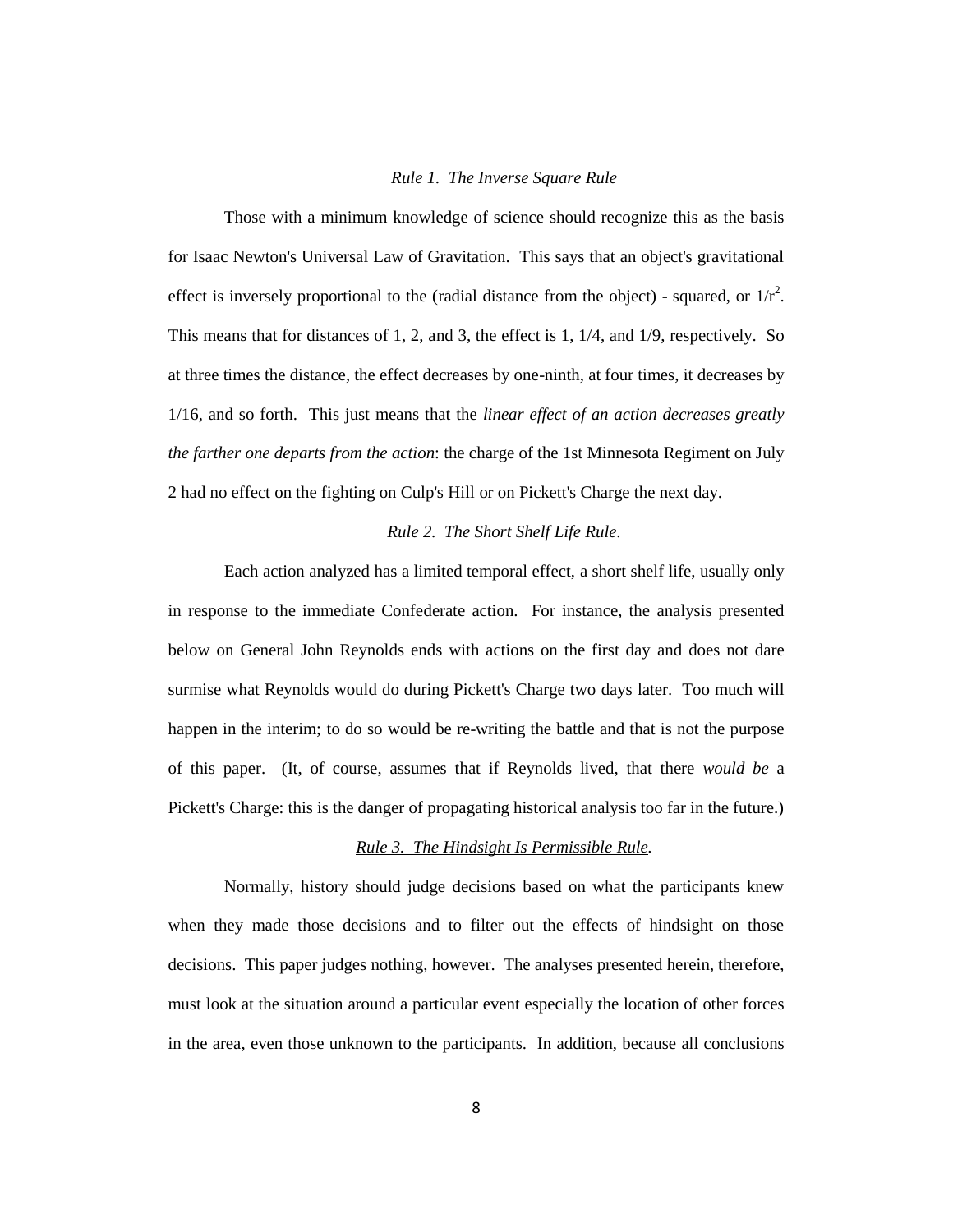### *Rule 1. The Inverse Square Rule*

Those with a minimum knowledge of science should recognize this as the basis for Isaac Newton's Universal Law of Gravitation. This says that an object's gravitational effect is inversely proportional to the (radial distance from the object) - squared, or  $1/r^2$ . This means that for distances of 1, 2, and 3, the effect is 1, 1/4, and 1/9, respectively. So at three times the distance, the effect decreases by one-ninth, at four times, it decreases by 1/16, and so forth. This just means that the *linear effect of an action decreases greatly the farther one departs from the action*: the charge of the 1st Minnesota Regiment on July 2 had no effect on the fighting on Culp's Hill or on Pickett's Charge the next day.

# *Rule 2. The Short Shelf Life Rule.*

Each action analyzed has a limited temporal effect, a short shelf life, usually only in response to the immediate Confederate action. For instance, the analysis presented below on General John Reynolds ends with actions on the first day and does not dare surmise what Reynolds would do during Pickett's Charge two days later. Too much will happen in the interim; to do so would be re-writing the battle and that is not the purpose of this paper. (It, of course, assumes that if Reynolds lived, that there *would be* a Pickett's Charge: this is the danger of propagating historical analysis too far in the future.)

# *Rule 3. The Hindsight Is Permissible Rule.*

Normally, history should judge decisions based on what the participants knew when they made those decisions and to filter out the effects of hindsight on those decisions. This paper judges nothing, however. The analyses presented herein, therefore, must look at the situation around a particular event especially the location of other forces in the area, even those unknown to the participants. In addition, because all conclusions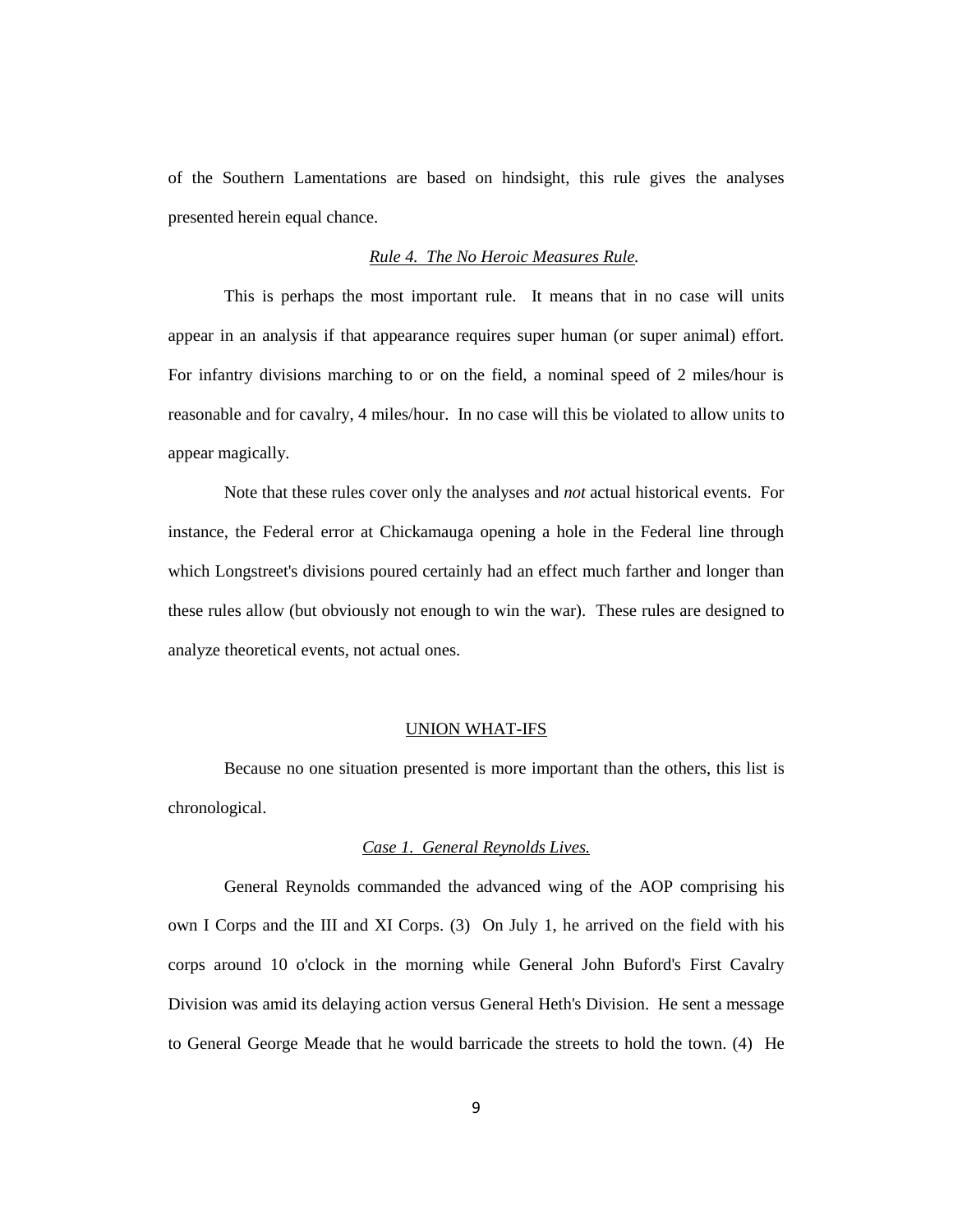of the Southern Lamentations are based on hindsight, this rule gives the analyses presented herein equal chance.

# *Rule 4. The No Heroic Measures Rule.*

This is perhaps the most important rule. It means that in no case will units appear in an analysis if that appearance requires super human (or super animal) effort. For infantry divisions marching to or on the field, a nominal speed of 2 miles/hour is reasonable and for cavalry, 4 miles/hour. In no case will this be violated to allow units to appear magically.

Note that these rules cover only the analyses and *not* actual historical events. For instance, the Federal error at Chickamauga opening a hole in the Federal line through which Longstreet's divisions poured certainly had an effect much farther and longer than these rules allow (but obviously not enough to win the war). These rules are designed to analyze theoretical events, not actual ones.

#### UNION WHAT-IFS

Because no one situation presented is more important than the others, this list is chronological.

#### *Case 1. General Reynolds Lives.*

General Reynolds commanded the advanced wing of the AOP comprising his own I Corps and the III and XI Corps. (3) On July 1, he arrived on the field with his corps around 10 o'clock in the morning while General John Buford's First Cavalry Division was amid its delaying action versus General Heth's Division. He sent a message to General George Meade that he would barricade the streets to hold the town. (4) He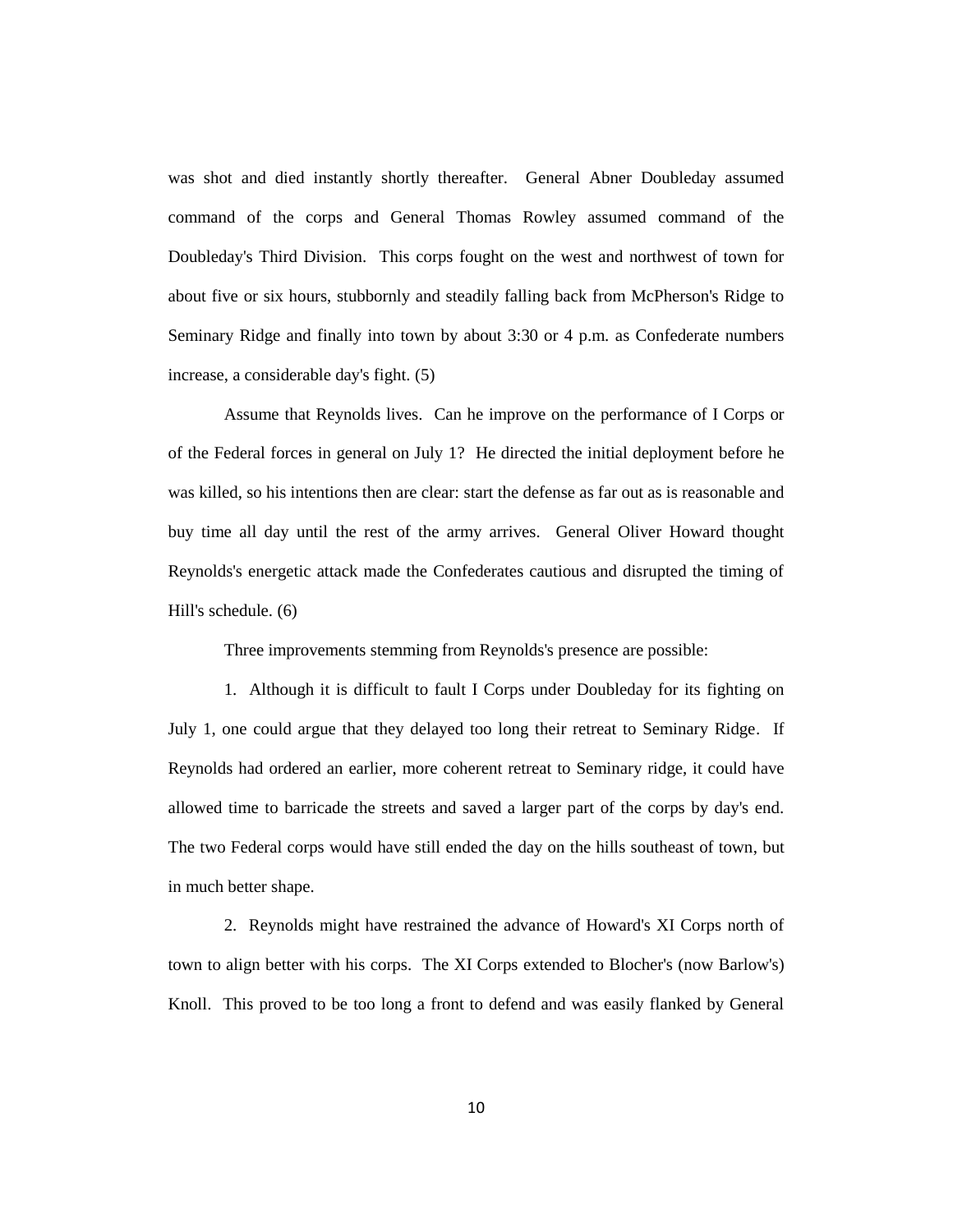was shot and died instantly shortly thereafter. General Abner Doubleday assumed command of the corps and General Thomas Rowley assumed command of the Doubleday's Third Division. This corps fought on the west and northwest of town for about five or six hours, stubbornly and steadily falling back from McPherson's Ridge to Seminary Ridge and finally into town by about 3:30 or 4 p.m. as Confederate numbers increase, a considerable day's fight. (5)

Assume that Reynolds lives. Can he improve on the performance of I Corps or of the Federal forces in general on July 1? He directed the initial deployment before he was killed, so his intentions then are clear: start the defense as far out as is reasonable and buy time all day until the rest of the army arrives. General Oliver Howard thought Reynolds's energetic attack made the Confederates cautious and disrupted the timing of Hill's schedule. (6)

Three improvements stemming from Reynolds's presence are possible:

1. Although it is difficult to fault I Corps under Doubleday for its fighting on July 1, one could argue that they delayed too long their retreat to Seminary Ridge. If Reynolds had ordered an earlier, more coherent retreat to Seminary ridge, it could have allowed time to barricade the streets and saved a larger part of the corps by day's end. The two Federal corps would have still ended the day on the hills southeast of town, but in much better shape.

2. Reynolds might have restrained the advance of Howard's XI Corps north of town to align better with his corps. The XI Corps extended to Blocher's (now Barlow's) Knoll. This proved to be too long a front to defend and was easily flanked by General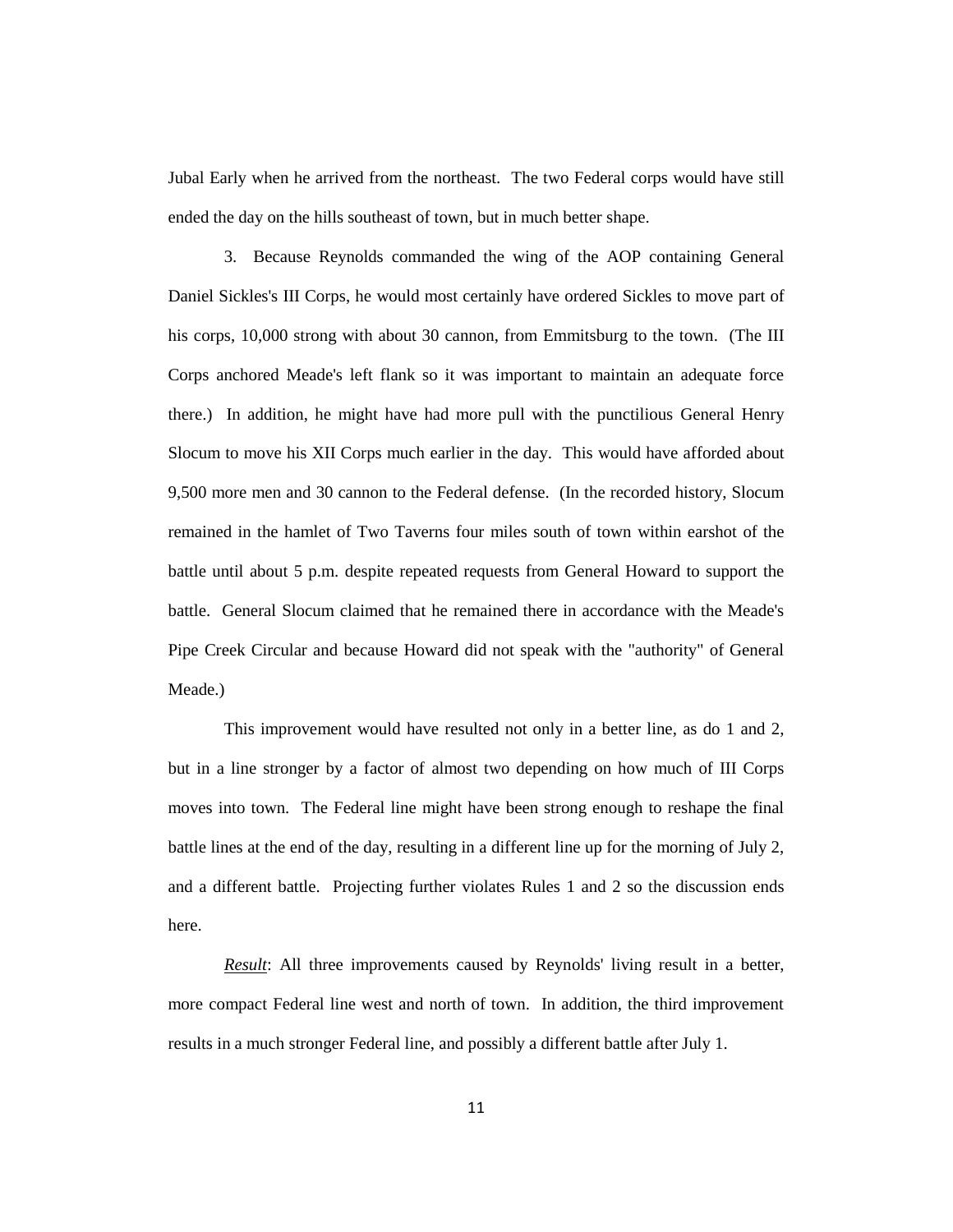Jubal Early when he arrived from the northeast. The two Federal corps would have still ended the day on the hills southeast of town, but in much better shape.

3. Because Reynolds commanded the wing of the AOP containing General Daniel Sickles's III Corps, he would most certainly have ordered Sickles to move part of his corps, 10,000 strong with about 30 cannon, from Emmitsburg to the town. (The III Corps anchored Meade's left flank so it was important to maintain an adequate force there.) In addition, he might have had more pull with the punctilious General Henry Slocum to move his XII Corps much earlier in the day. This would have afforded about 9,500 more men and 30 cannon to the Federal defense. (In the recorded history, Slocum remained in the hamlet of Two Taverns four miles south of town within earshot of the battle until about 5 p.m. despite repeated requests from General Howard to support the battle. General Slocum claimed that he remained there in accordance with the Meade's Pipe Creek Circular and because Howard did not speak with the "authority" of General Meade.)

This improvement would have resulted not only in a better line, as do 1 and 2, but in a line stronger by a factor of almost two depending on how much of III Corps moves into town. The Federal line might have been strong enough to reshape the final battle lines at the end of the day, resulting in a different line up for the morning of July 2, and a different battle. Projecting further violates Rules 1 and 2 so the discussion ends here.

*Result*: All three improvements caused by Reynolds' living result in a better, more compact Federal line west and north of town. In addition, the third improvement results in a much stronger Federal line, and possibly a different battle after July 1.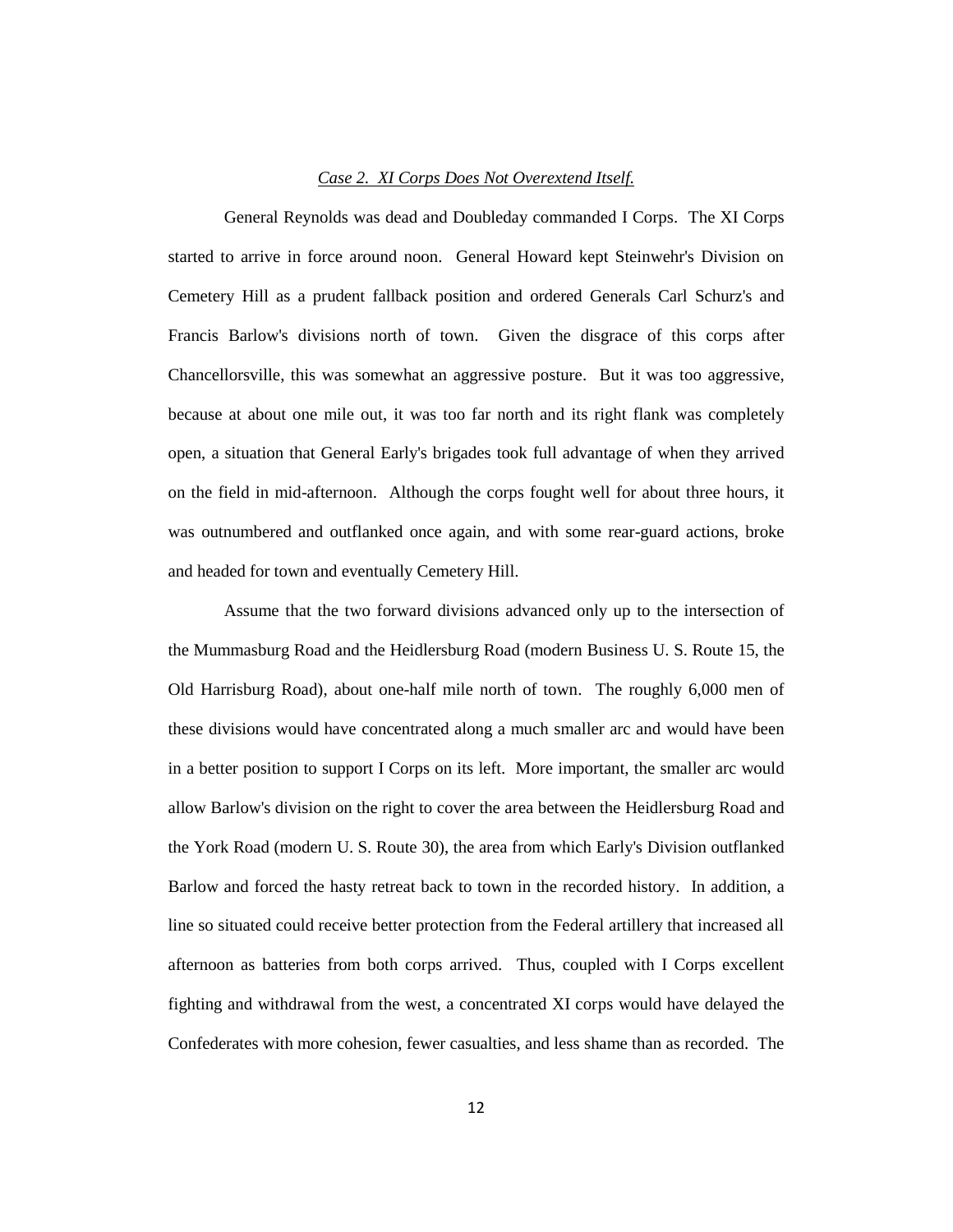### *Case 2. XI Corps Does Not Overextend Itself.*

General Reynolds was dead and Doubleday commanded I Corps. The XI Corps started to arrive in force around noon. General Howard kept Steinwehr's Division on Cemetery Hill as a prudent fallback position and ordered Generals Carl Schurz's and Francis Barlow's divisions north of town. Given the disgrace of this corps after Chancellorsville, this was somewhat an aggressive posture. But it was too aggressive, because at about one mile out, it was too far north and its right flank was completely open, a situation that General Early's brigades took full advantage of when they arrived on the field in mid-afternoon. Although the corps fought well for about three hours, it was outnumbered and outflanked once again, and with some rear-guard actions, broke and headed for town and eventually Cemetery Hill.

Assume that the two forward divisions advanced only up to the intersection of the Mummasburg Road and the Heidlersburg Road (modern Business U. S. Route 15, the Old Harrisburg Road), about one-half mile north of town. The roughly 6,000 men of these divisions would have concentrated along a much smaller arc and would have been in a better position to support I Corps on its left. More important, the smaller arc would allow Barlow's division on the right to cover the area between the Heidlersburg Road and the York Road (modern U. S. Route 30), the area from which Early's Division outflanked Barlow and forced the hasty retreat back to town in the recorded history. In addition, a line so situated could receive better protection from the Federal artillery that increased all afternoon as batteries from both corps arrived. Thus, coupled with I Corps excellent fighting and withdrawal from the west, a concentrated XI corps would have delayed the Confederates with more cohesion, fewer casualties, and less shame than as recorded. The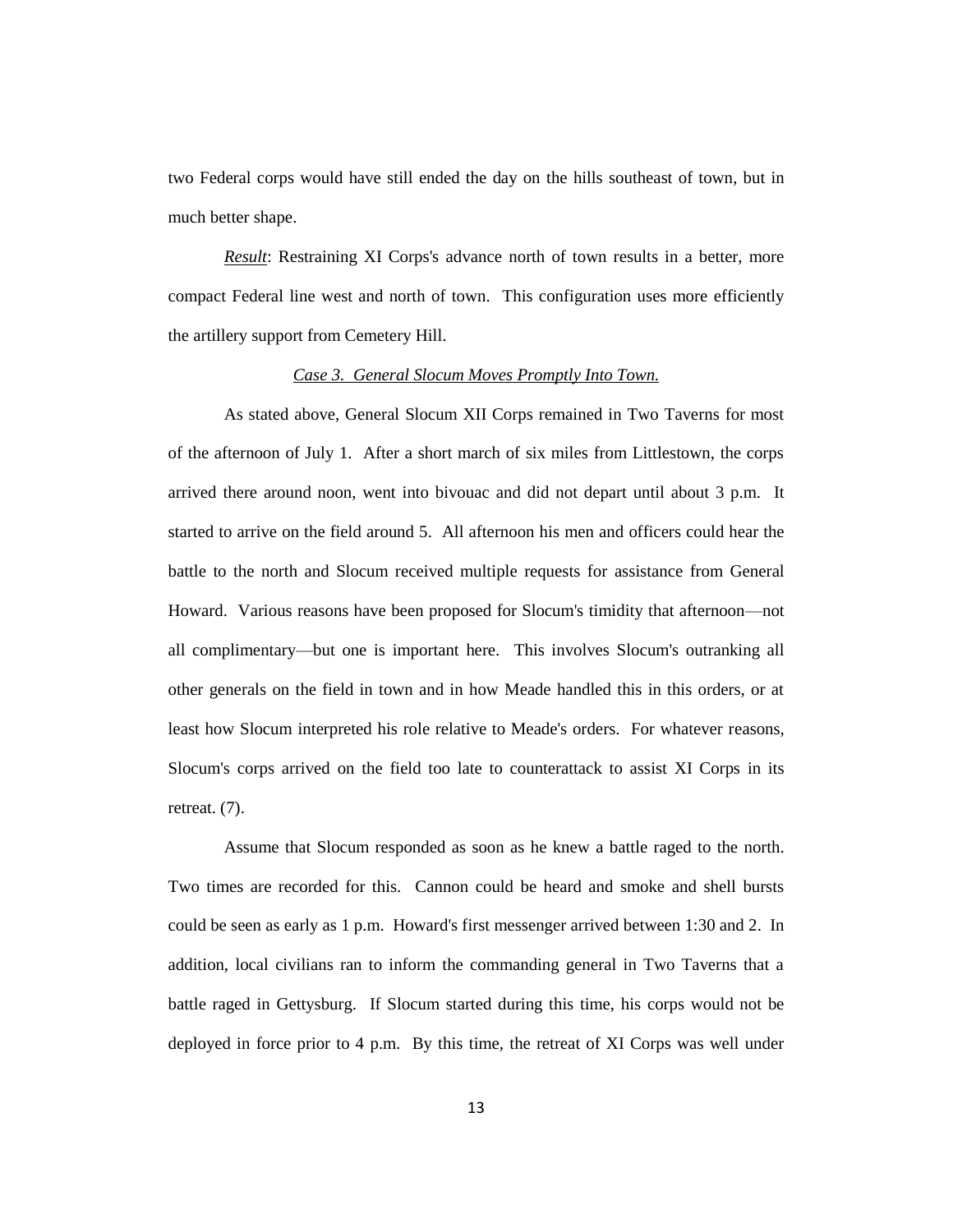two Federal corps would have still ended the day on the hills southeast of town, but in much better shape.

*Result:* Restraining XI Corps's advance north of town results in a better, more compact Federal line west and north of town. This configuration uses more efficiently the artillery support from Cemetery Hill.

### *Case 3. General Slocum Moves Promptly Into Town.*

As stated above, General Slocum XII Corps remained in Two Taverns for most of the afternoon of July 1. After a short march of six miles from Littlestown, the corps arrived there around noon, went into bivouac and did not depart until about 3 p.m. It started to arrive on the field around 5. All afternoon his men and officers could hear the battle to the north and Slocum received multiple requests for assistance from General Howard. Various reasons have been proposed for Slocum's timidity that afternoon—not all complimentary—but one is important here. This involves Slocum's outranking all other generals on the field in town and in how Meade handled this in this orders, or at least how Slocum interpreted his role relative to Meade's orders. For whatever reasons, Slocum's corps arrived on the field too late to counterattack to assist XI Corps in its retreat. (7).

Assume that Slocum responded as soon as he knew a battle raged to the north. Two times are recorded for this. Cannon could be heard and smoke and shell bursts could be seen as early as 1 p.m. Howard's first messenger arrived between 1:30 and 2. In addition, local civilians ran to inform the commanding general in Two Taverns that a battle raged in Gettysburg. If Slocum started during this time, his corps would not be deployed in force prior to 4 p.m. By this time, the retreat of XI Corps was well under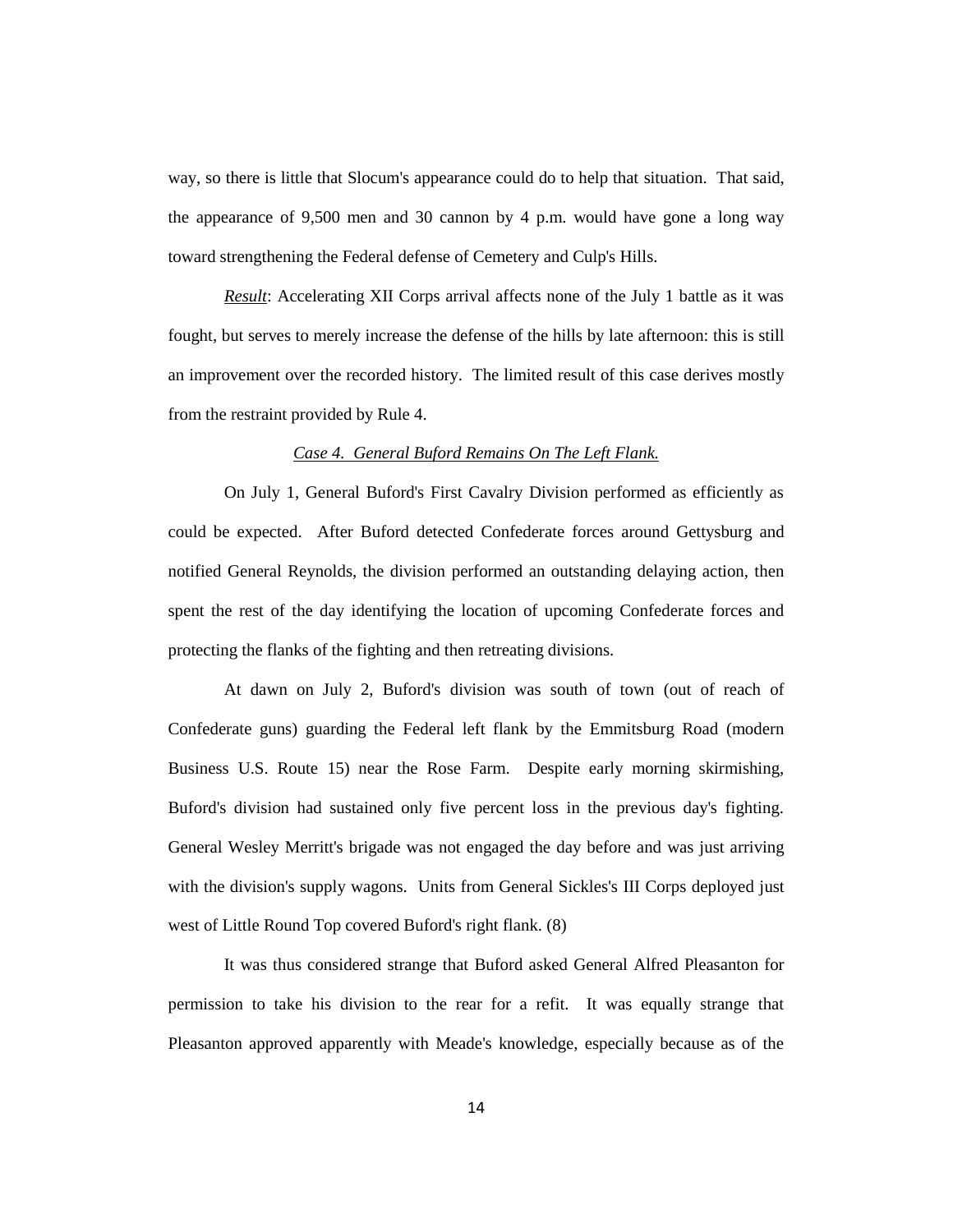way, so there is little that Slocum's appearance could do to help that situation. That said, the appearance of 9,500 men and 30 cannon by 4 p.m. would have gone a long way toward strengthening the Federal defense of Cemetery and Culp's Hills.

*Result*: Accelerating XII Corps arrival affects none of the July 1 battle as it was fought, but serves to merely increase the defense of the hills by late afternoon: this is still an improvement over the recorded history. The limited result of this case derives mostly from the restraint provided by Rule 4.

### *Case 4. General Buford Remains On The Left Flank.*

On July 1, General Buford's First Cavalry Division performed as efficiently as could be expected. After Buford detected Confederate forces around Gettysburg and notified General Reynolds, the division performed an outstanding delaying action, then spent the rest of the day identifying the location of upcoming Confederate forces and protecting the flanks of the fighting and then retreating divisions.

At dawn on July 2, Buford's division was south of town (out of reach of Confederate guns) guarding the Federal left flank by the Emmitsburg Road (modern Business U.S. Route 15) near the Rose Farm. Despite early morning skirmishing, Buford's division had sustained only five percent loss in the previous day's fighting. General Wesley Merritt's brigade was not engaged the day before and was just arriving with the division's supply wagons. Units from General Sickles's III Corps deployed just west of Little Round Top covered Buford's right flank. (8)

It was thus considered strange that Buford asked General Alfred Pleasanton for permission to take his division to the rear for a refit. It was equally strange that Pleasanton approved apparently with Meade's knowledge, especially because as of the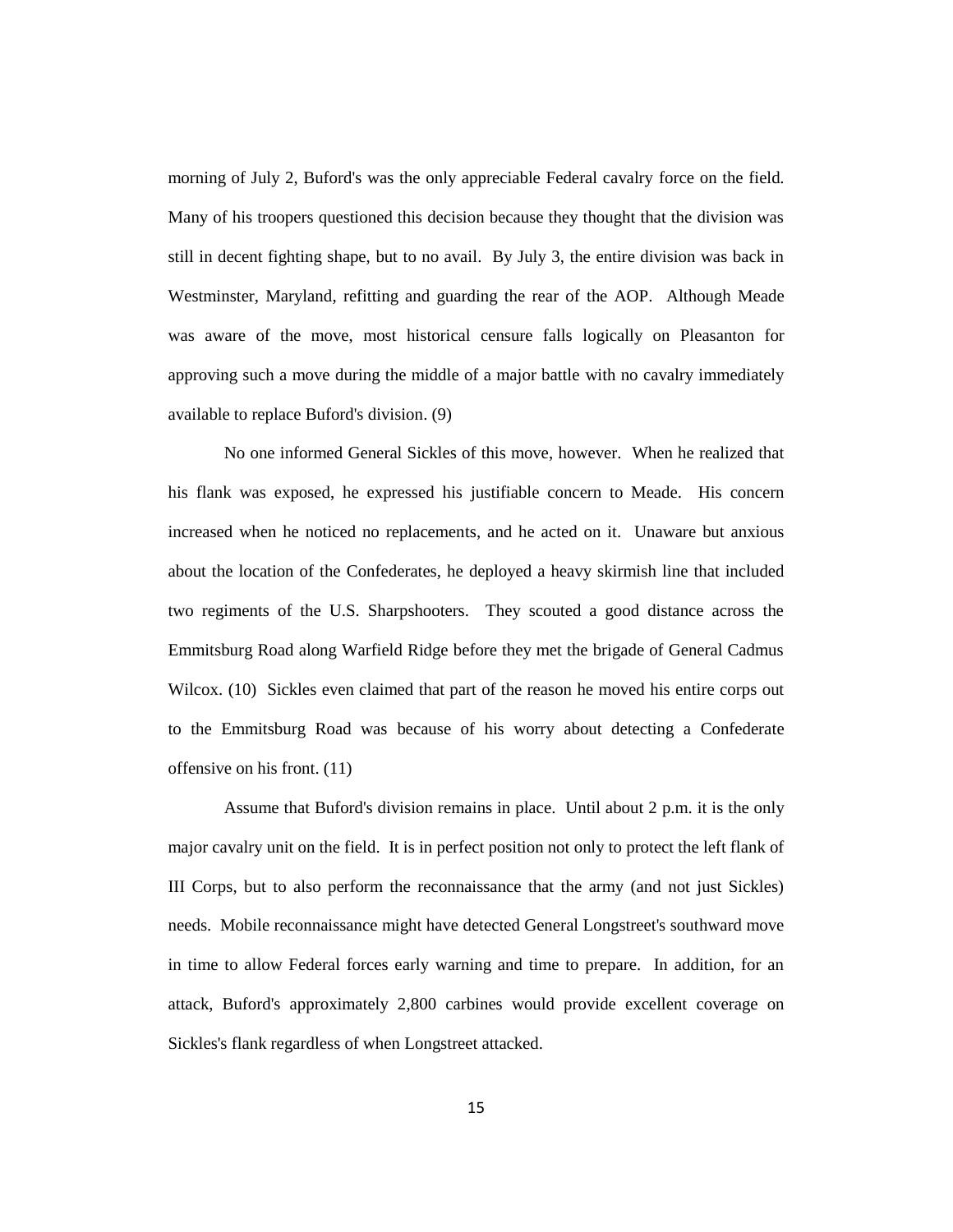morning of July 2, Buford's was the only appreciable Federal cavalry force on the field. Many of his troopers questioned this decision because they thought that the division was still in decent fighting shape, but to no avail. By July 3, the entire division was back in Westminster, Maryland, refitting and guarding the rear of the AOP. Although Meade was aware of the move, most historical censure falls logically on Pleasanton for approving such a move during the middle of a major battle with no cavalry immediately available to replace Buford's division. (9)

No one informed General Sickles of this move, however. When he realized that his flank was exposed, he expressed his justifiable concern to Meade. His concern increased when he noticed no replacements, and he acted on it. Unaware but anxious about the location of the Confederates, he deployed a heavy skirmish line that included two regiments of the U.S. Sharpshooters. They scouted a good distance across the Emmitsburg Road along Warfield Ridge before they met the brigade of General Cadmus Wilcox. (10) Sickles even claimed that part of the reason he moved his entire corps out to the Emmitsburg Road was because of his worry about detecting a Confederate offensive on his front. (11)

Assume that Buford's division remains in place. Until about 2 p.m. it is the only major cavalry unit on the field. It is in perfect position not only to protect the left flank of III Corps, but to also perform the reconnaissance that the army (and not just Sickles) needs. Mobile reconnaissance might have detected General Longstreet's southward move in time to allow Federal forces early warning and time to prepare. In addition, for an attack, Buford's approximately 2,800 carbines would provide excellent coverage on Sickles's flank regardless of when Longstreet attacked.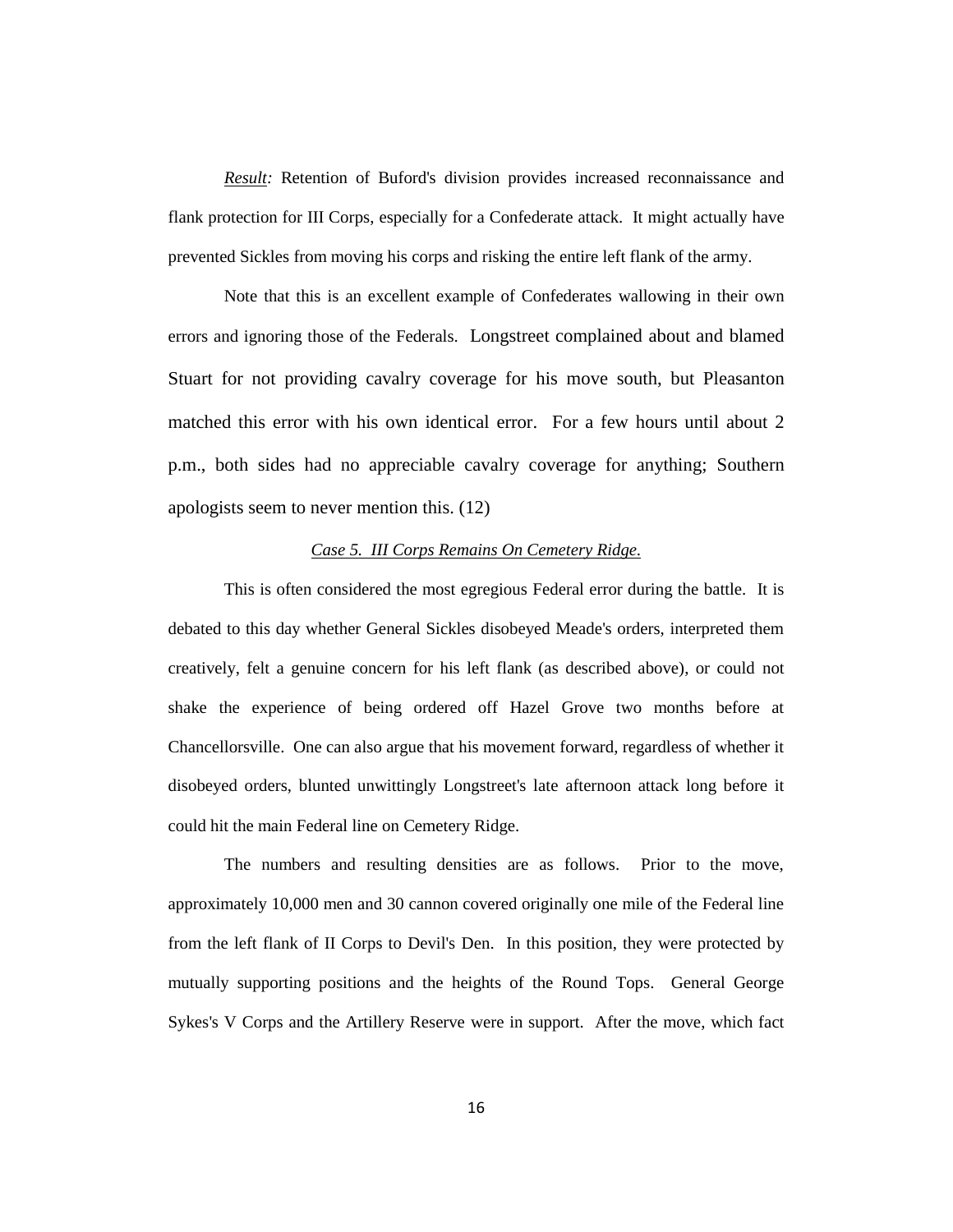*Result:* Retention of Buford's division provides increased reconnaissance and flank protection for III Corps, especially for a Confederate attack. It might actually have prevented Sickles from moving his corps and risking the entire left flank of the army.

Note that this is an excellent example of Confederates wallowing in their own errors and ignoring those of the Federals. Longstreet complained about and blamed Stuart for not providing cavalry coverage for his move south, but Pleasanton matched this error with his own identical error. For a few hours until about 2 p.m., both sides had no appreciable cavalry coverage for anything; Southern apologists seem to never mention this. (12)

# *Case 5. III Corps Remains On Cemetery Ridge.*

This is often considered the most egregious Federal error during the battle. It is debated to this day whether General Sickles disobeyed Meade's orders, interpreted them creatively, felt a genuine concern for his left flank (as described above), or could not shake the experience of being ordered off Hazel Grove two months before at Chancellorsville. One can also argue that his movement forward, regardless of whether it disobeyed orders, blunted unwittingly Longstreet's late afternoon attack long before it could hit the main Federal line on Cemetery Ridge.

The numbers and resulting densities are as follows. Prior to the move, approximately 10,000 men and 30 cannon covered originally one mile of the Federal line from the left flank of II Corps to Devil's Den. In this position, they were protected by mutually supporting positions and the heights of the Round Tops. General George Sykes's V Corps and the Artillery Reserve were in support. After the move, which fact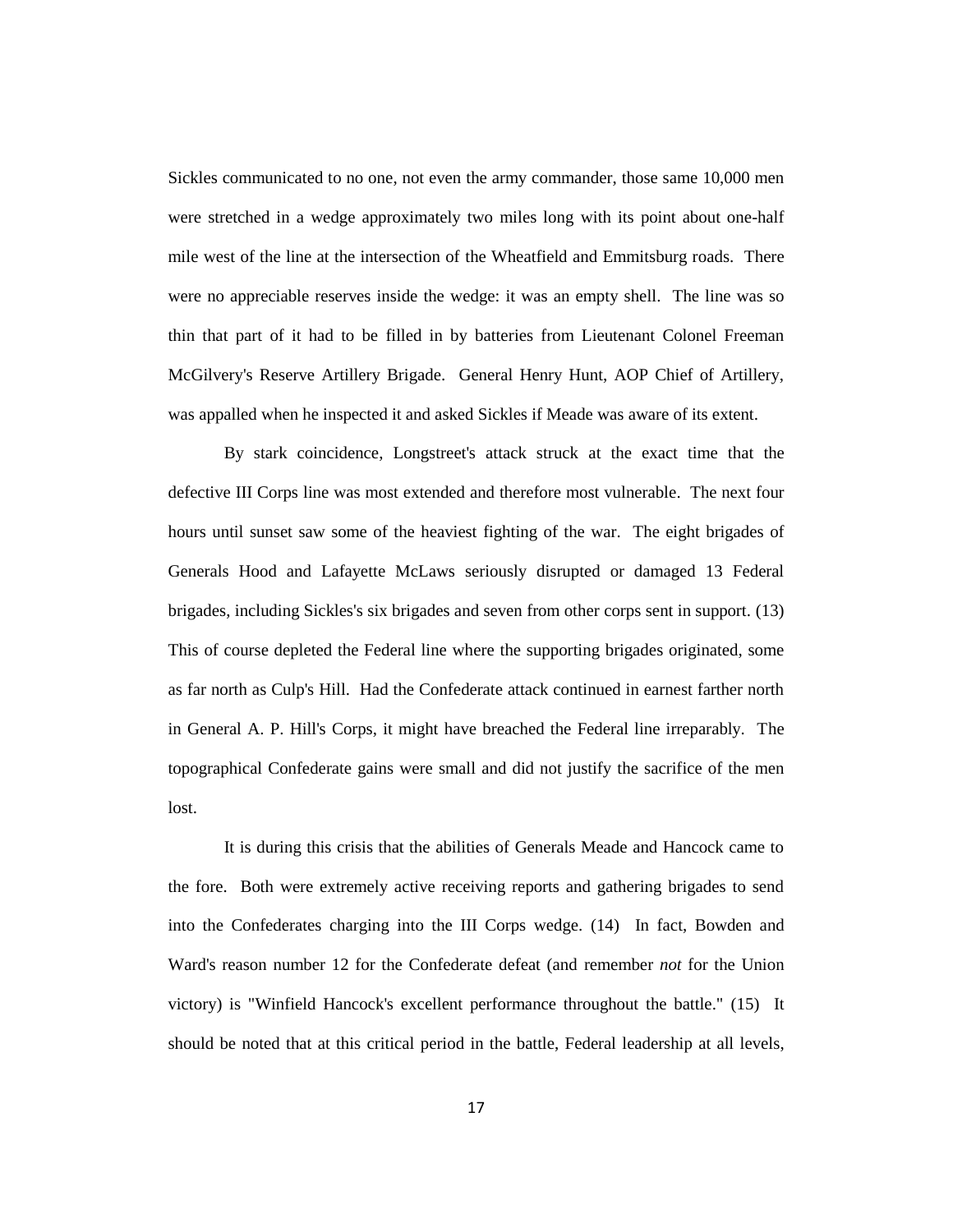Sickles communicated to no one, not even the army commander, those same 10,000 men were stretched in a wedge approximately two miles long with its point about one-half mile west of the line at the intersection of the Wheatfield and Emmitsburg roads. There were no appreciable reserves inside the wedge: it was an empty shell. The line was so thin that part of it had to be filled in by batteries from Lieutenant Colonel Freeman McGilvery's Reserve Artillery Brigade. General Henry Hunt, AOP Chief of Artillery, was appalled when he inspected it and asked Sickles if Meade was aware of its extent.

By stark coincidence, Longstreet's attack struck at the exact time that the defective III Corps line was most extended and therefore most vulnerable. The next four hours until sunset saw some of the heaviest fighting of the war. The eight brigades of Generals Hood and Lafayette McLaws seriously disrupted or damaged 13 Federal brigades, including Sickles's six brigades and seven from other corps sent in support. (13) This of course depleted the Federal line where the supporting brigades originated, some as far north as Culp's Hill. Had the Confederate attack continued in earnest farther north in General A. P. Hill's Corps, it might have breached the Federal line irreparably. The topographical Confederate gains were small and did not justify the sacrifice of the men lost.

It is during this crisis that the abilities of Generals Meade and Hancock came to the fore. Both were extremely active receiving reports and gathering brigades to send into the Confederates charging into the III Corps wedge. (14) In fact, Bowden and Ward's reason number 12 for the Confederate defeat (and remember *not* for the Union victory) is "Winfield Hancock's excellent performance throughout the battle." (15) It should be noted that at this critical period in the battle, Federal leadership at all levels,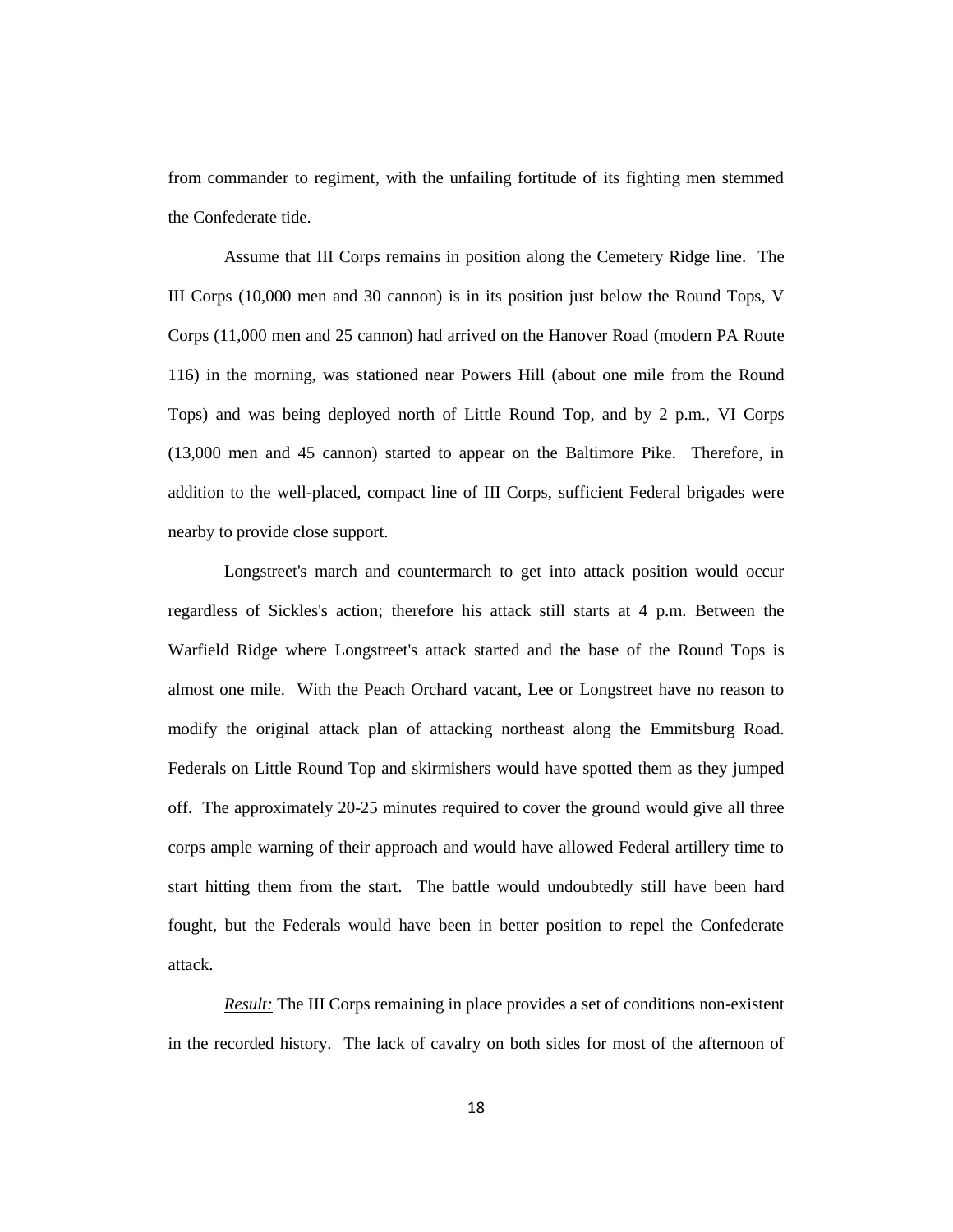from commander to regiment, with the unfailing fortitude of its fighting men stemmed the Confederate tide.

Assume that III Corps remains in position along the Cemetery Ridge line. The III Corps (10,000 men and 30 cannon) is in its position just below the Round Tops, V Corps (11,000 men and 25 cannon) had arrived on the Hanover Road (modern PA Route 116) in the morning, was stationed near Powers Hill (about one mile from the Round Tops) and was being deployed north of Little Round Top, and by 2 p.m., VI Corps (13,000 men and 45 cannon) started to appear on the Baltimore Pike. Therefore, in addition to the well-placed, compact line of III Corps, sufficient Federal brigades were nearby to provide close support.

Longstreet's march and countermarch to get into attack position would occur regardless of Sickles's action; therefore his attack still starts at 4 p.m. Between the Warfield Ridge where Longstreet's attack started and the base of the Round Tops is almost one mile. With the Peach Orchard vacant, Lee or Longstreet have no reason to modify the original attack plan of attacking northeast along the Emmitsburg Road. Federals on Little Round Top and skirmishers would have spotted them as they jumped off. The approximately 20-25 minutes required to cover the ground would give all three corps ample warning of their approach and would have allowed Federal artillery time to start hitting them from the start. The battle would undoubtedly still have been hard fought, but the Federals would have been in better position to repel the Confederate attack.

*Result:* The III Corps remaining in place provides a set of conditions non-existent in the recorded history. The lack of cavalry on both sides for most of the afternoon of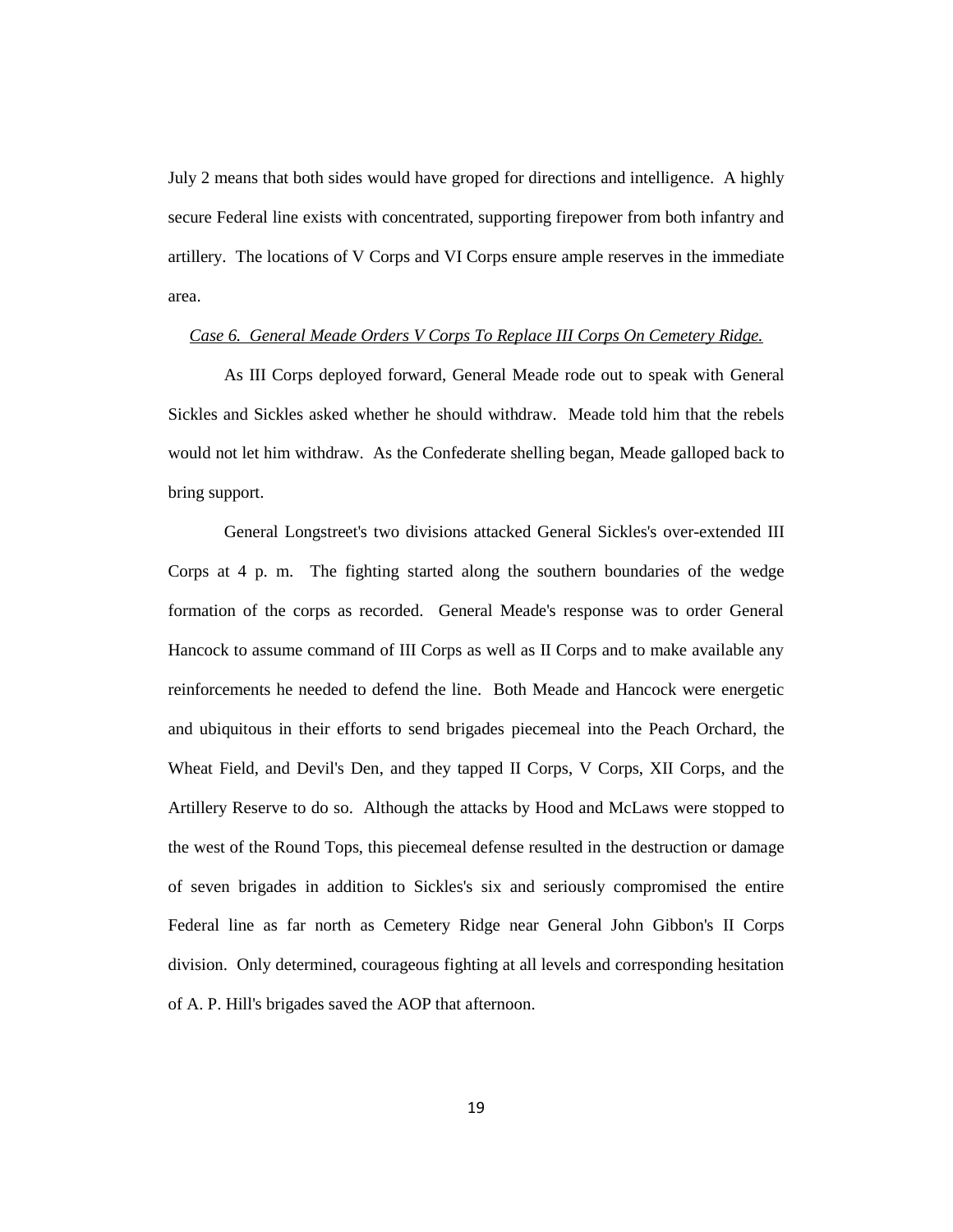July 2 means that both sides would have groped for directions and intelligence. A highly secure Federal line exists with concentrated, supporting firepower from both infantry and artillery. The locations of V Corps and VI Corps ensure ample reserves in the immediate area.

#### *Case 6. General Meade Orders V Corps To Replace III Corps On Cemetery Ridge.*

As III Corps deployed forward, General Meade rode out to speak with General Sickles and Sickles asked whether he should withdraw. Meade told him that the rebels would not let him withdraw. As the Confederate shelling began, Meade galloped back to bring support.

General Longstreet's two divisions attacked General Sickles's over-extended III Corps at 4 p. m. The fighting started along the southern boundaries of the wedge formation of the corps as recorded. General Meade's response was to order General Hancock to assume command of III Corps as well as II Corps and to make available any reinforcements he needed to defend the line. Both Meade and Hancock were energetic and ubiquitous in their efforts to send brigades piecemeal into the Peach Orchard, the Wheat Field, and Devil's Den, and they tapped II Corps, V Corps, XII Corps, and the Artillery Reserve to do so. Although the attacks by Hood and McLaws were stopped to the west of the Round Tops, this piecemeal defense resulted in the destruction or damage of seven brigades in addition to Sickles's six and seriously compromised the entire Federal line as far north as Cemetery Ridge near General John Gibbon's II Corps division. Only determined, courageous fighting at all levels and corresponding hesitation of A. P. Hill's brigades saved the AOP that afternoon.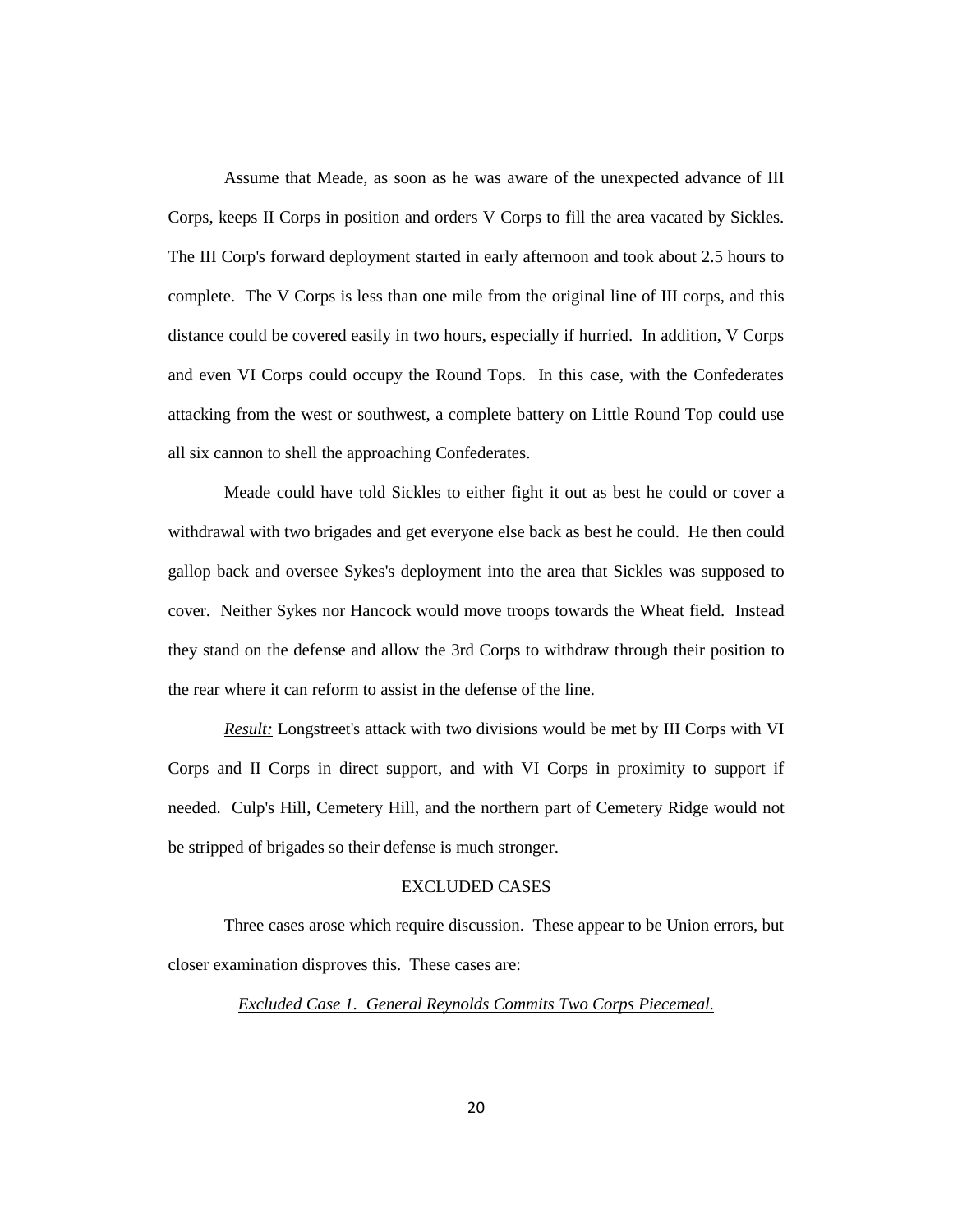Assume that Meade, as soon as he was aware of the unexpected advance of III Corps, keeps II Corps in position and orders V Corps to fill the area vacated by Sickles. The III Corp's forward deployment started in early afternoon and took about 2.5 hours to complete. The V Corps is less than one mile from the original line of III corps, and this distance could be covered easily in two hours, especially if hurried. In addition, V Corps and even VI Corps could occupy the Round Tops. In this case, with the Confederates attacking from the west or southwest, a complete battery on Little Round Top could use all six cannon to shell the approaching Confederates.

Meade could have told Sickles to either fight it out as best he could or cover a withdrawal with two brigades and get everyone else back as best he could. He then could gallop back and oversee Sykes's deployment into the area that Sickles was supposed to cover. Neither Sykes nor Hancock would move troops towards the Wheat field. Instead they stand on the defense and allow the 3rd Corps to withdraw through their position to the rear where it can reform to assist in the defense of the line.

*Result:* Longstreet's attack with two divisions would be met by III Corps with VI Corps and II Corps in direct support, and with VI Corps in proximity to support if needed. Culp's Hill, Cemetery Hill, and the northern part of Cemetery Ridge would not be stripped of brigades so their defense is much stronger.

#### EXCLUDED CASES

Three cases arose which require discussion. These appear to be Union errors, but closer examination disproves this. These cases are:

*Excluded Case 1. General Reynolds Commits Two Corps Piecemeal.*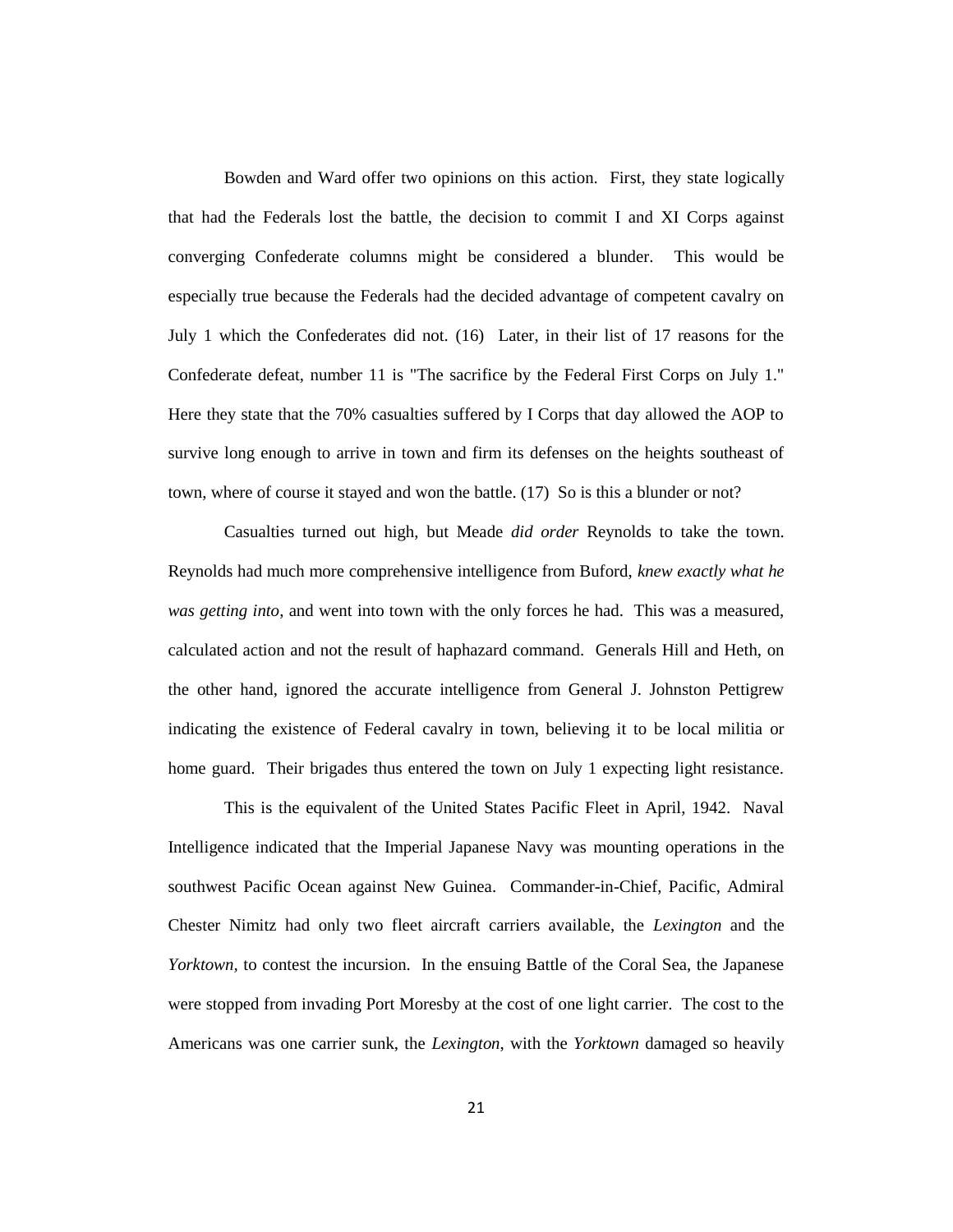Bowden and Ward offer two opinions on this action. First, they state logically that had the Federals lost the battle, the decision to commit I and XI Corps against converging Confederate columns might be considered a blunder. This would be especially true because the Federals had the decided advantage of competent cavalry on July 1 which the Confederates did not. (16) Later, in their list of 17 reasons for the Confederate defeat, number 11 is "The sacrifice by the Federal First Corps on July 1." Here they state that the 70% casualties suffered by I Corps that day allowed the AOP to survive long enough to arrive in town and firm its defenses on the heights southeast of town, where of course it stayed and won the battle. (17) So is this a blunder or not?

Casualties turned out high, but Meade *did order* Reynolds to take the town. Reynolds had much more comprehensive intelligence from Buford, *knew exactly what he was getting into*, and went into town with the only forces he had. This was a measured, calculated action and not the result of haphazard command. Generals Hill and Heth, on the other hand, ignored the accurate intelligence from General J. Johnston Pettigrew indicating the existence of Federal cavalry in town, believing it to be local militia or home guard. Their brigades thus entered the town on July 1 expecting light resistance.

This is the equivalent of the United States Pacific Fleet in April, 1942. Naval Intelligence indicated that the Imperial Japanese Navy was mounting operations in the southwest Pacific Ocean against New Guinea. Commander-in-Chief, Pacific, Admiral Chester Nimitz had only two fleet aircraft carriers available, the *Lexington* and the *Yorktown,* to contest the incursion. In the ensuing Battle of the Coral Sea, the Japanese were stopped from invading Port Moresby at the cost of one light carrier. The cost to the Americans was one carrier sunk, the *Lexington*, with the *Yorktown* damaged so heavily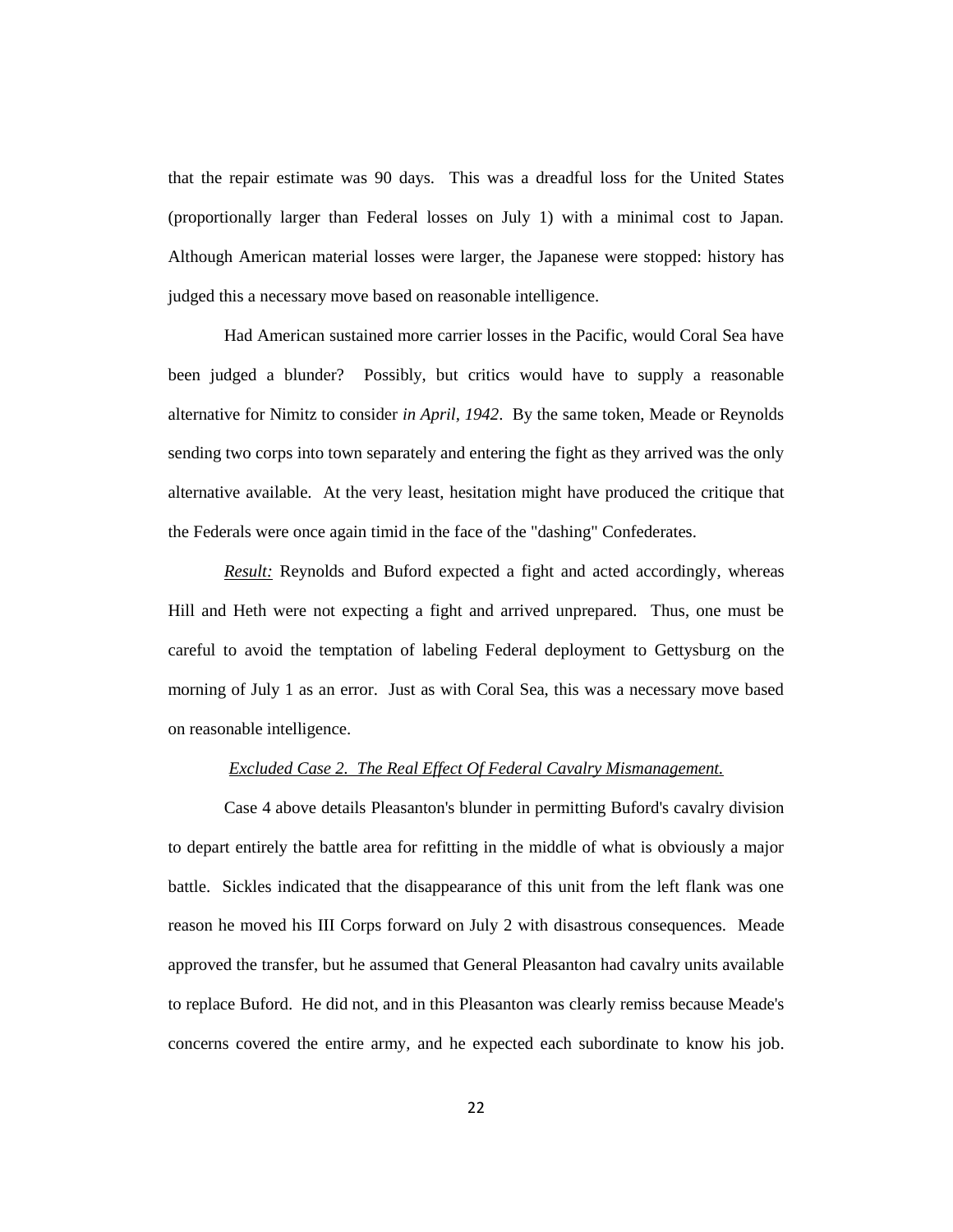that the repair estimate was 90 days. This was a dreadful loss for the United States (proportionally larger than Federal losses on July 1) with a minimal cost to Japan. Although American material losses were larger, the Japanese were stopped: history has judged this a necessary move based on reasonable intelligence.

Had American sustained more carrier losses in the Pacific, would Coral Sea have been judged a blunder? Possibly, but critics would have to supply a reasonable alternative for Nimitz to consider *in April, 1942*. By the same token, Meade or Reynolds sending two corps into town separately and entering the fight as they arrived was the only alternative available. At the very least, hesitation might have produced the critique that the Federals were once again timid in the face of the "dashing" Confederates.

*Result:* Reynolds and Buford expected a fight and acted accordingly, whereas Hill and Heth were not expecting a fight and arrived unprepared. Thus, one must be careful to avoid the temptation of labeling Federal deployment to Gettysburg on the morning of July 1 as an error. Just as with Coral Sea, this was a necessary move based on reasonable intelligence.

## *Excluded Case 2. The Real Effect Of Federal Cavalry Mismanagement.*

Case 4 above details Pleasanton's blunder in permitting Buford's cavalry division to depart entirely the battle area for refitting in the middle of what is obviously a major battle. Sickles indicated that the disappearance of this unit from the left flank was one reason he moved his III Corps forward on July 2 with disastrous consequences. Meade approved the transfer, but he assumed that General Pleasanton had cavalry units available to replace Buford. He did not, and in this Pleasanton was clearly remiss because Meade's concerns covered the entire army, and he expected each subordinate to know his job.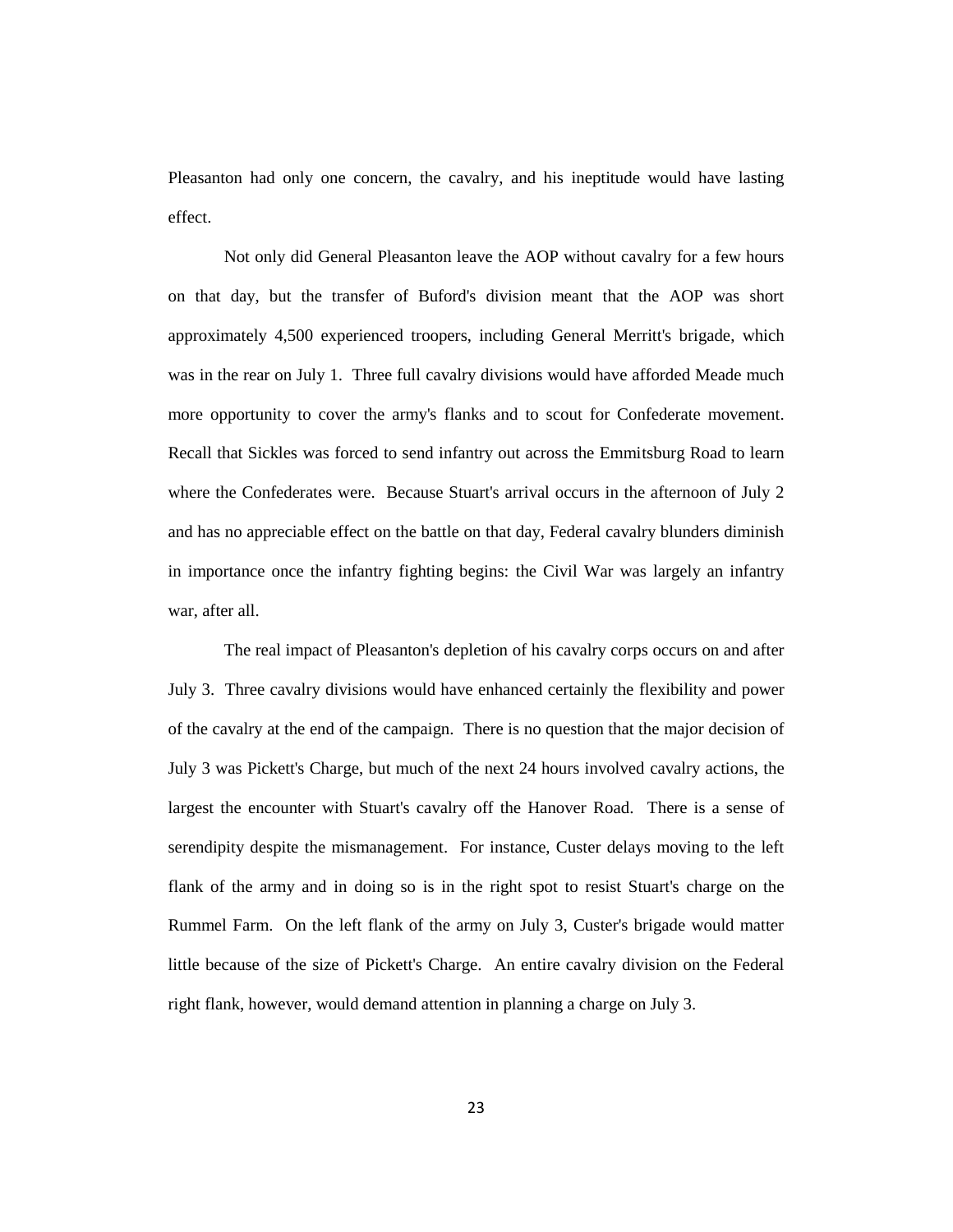Pleasanton had only one concern, the cavalry, and his ineptitude would have lasting effect.

Not only did General Pleasanton leave the AOP without cavalry for a few hours on that day, but the transfer of Buford's division meant that the AOP was short approximately 4,500 experienced troopers, including General Merritt's brigade, which was in the rear on July 1. Three full cavalry divisions would have afforded Meade much more opportunity to cover the army's flanks and to scout for Confederate movement. Recall that Sickles was forced to send infantry out across the Emmitsburg Road to learn where the Confederates were. Because Stuart's arrival occurs in the afternoon of July 2 and has no appreciable effect on the battle on that day, Federal cavalry blunders diminish in importance once the infantry fighting begins: the Civil War was largely an infantry war, after all.

The real impact of Pleasanton's depletion of his cavalry corps occurs on and after July 3. Three cavalry divisions would have enhanced certainly the flexibility and power of the cavalry at the end of the campaign. There is no question that the major decision of July 3 was Pickett's Charge, but much of the next 24 hours involved cavalry actions, the largest the encounter with Stuart's cavalry off the Hanover Road. There is a sense of serendipity despite the mismanagement. For instance, Custer delays moving to the left flank of the army and in doing so is in the right spot to resist Stuart's charge on the Rummel Farm. On the left flank of the army on July 3, Custer's brigade would matter little because of the size of Pickett's Charge. An entire cavalry division on the Federal right flank, however, would demand attention in planning a charge on July 3.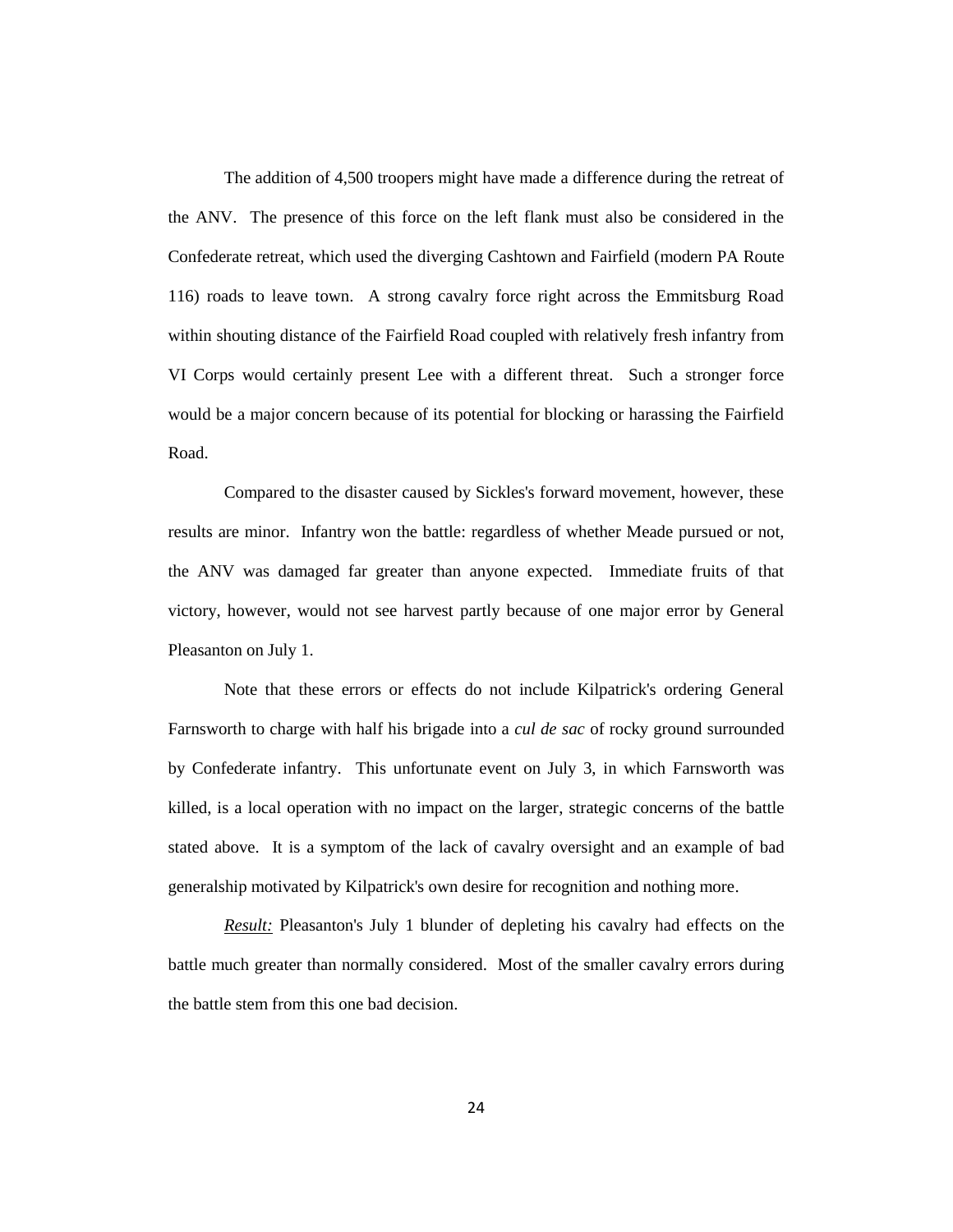The addition of 4,500 troopers might have made a difference during the retreat of the ANV. The presence of this force on the left flank must also be considered in the Confederate retreat, which used the diverging Cashtown and Fairfield (modern PA Route 116) roads to leave town. A strong cavalry force right across the Emmitsburg Road within shouting distance of the Fairfield Road coupled with relatively fresh infantry from VI Corps would certainly present Lee with a different threat. Such a stronger force would be a major concern because of its potential for blocking or harassing the Fairfield Road.

Compared to the disaster caused by Sickles's forward movement, however, these results are minor. Infantry won the battle: regardless of whether Meade pursued or not, the ANV was damaged far greater than anyone expected. Immediate fruits of that victory, however, would not see harvest partly because of one major error by General Pleasanton on July 1.

Note that these errors or effects do not include Kilpatrick's ordering General Farnsworth to charge with half his brigade into a *cul de sac* of rocky ground surrounded by Confederate infantry. This unfortunate event on July 3, in which Farnsworth was killed, is a local operation with no impact on the larger, strategic concerns of the battle stated above. It is a symptom of the lack of cavalry oversight and an example of bad generalship motivated by Kilpatrick's own desire for recognition and nothing more.

*Result:* Pleasanton's July 1 blunder of depleting his cavalry had effects on the battle much greater than normally considered. Most of the smaller cavalry errors during the battle stem from this one bad decision.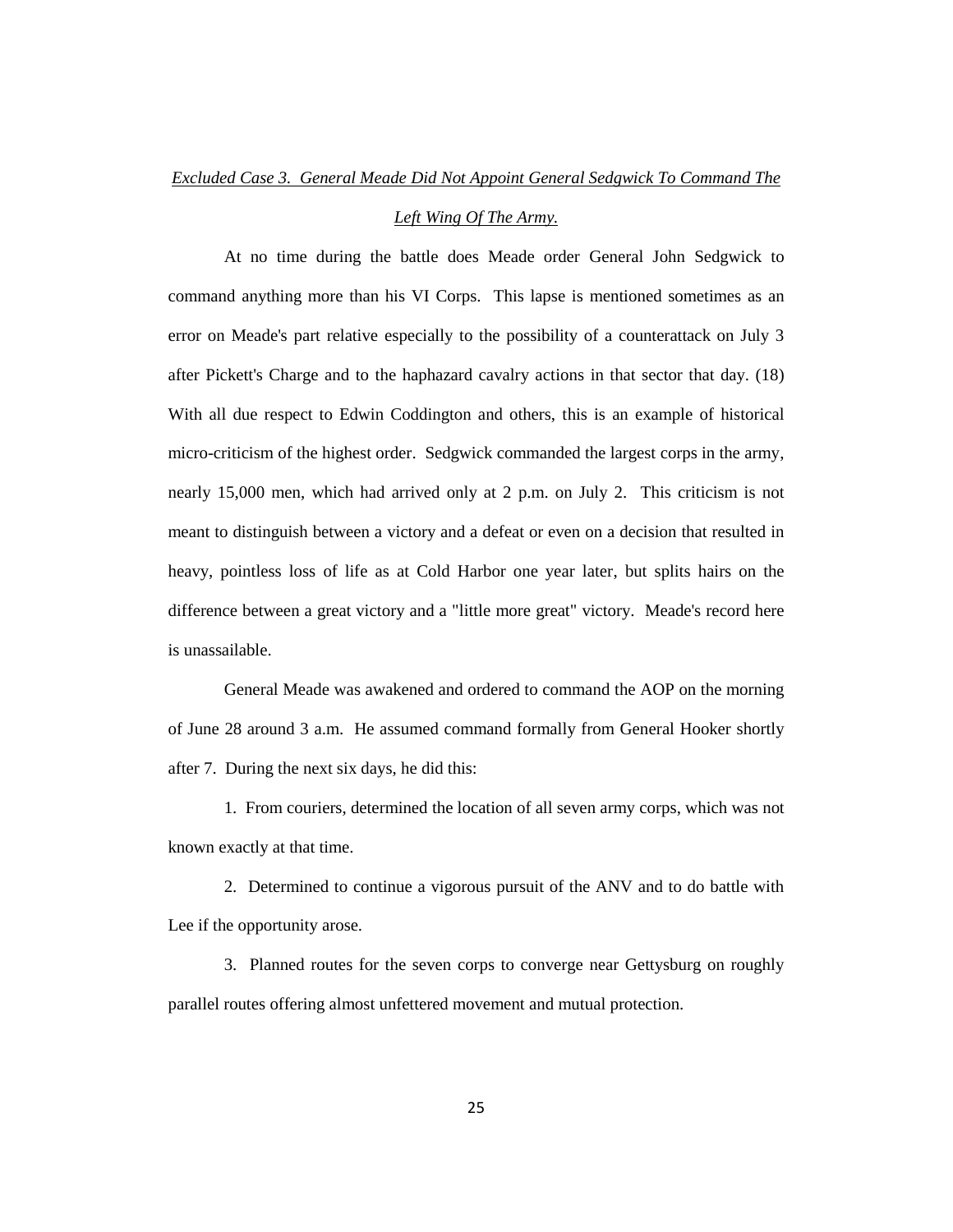#### *Left Wing Of The Army.*

At no time during the battle does Meade order General John Sedgwick to command anything more than his VI Corps. This lapse is mentioned sometimes as an error on Meade's part relative especially to the possibility of a counterattack on July 3 after Pickett's Charge and to the haphazard cavalry actions in that sector that day. (18) With all due respect to Edwin Coddington and others, this is an example of historical micro-criticism of the highest order. Sedgwick commanded the largest corps in the army, nearly 15,000 men, which had arrived only at 2 p.m. on July 2. This criticism is not meant to distinguish between a victory and a defeat or even on a decision that resulted in heavy, pointless loss of life as at Cold Harbor one year later, but splits hairs on the difference between a great victory and a "little more great" victory. Meade's record here is unassailable.

General Meade was awakened and ordered to command the AOP on the morning of June 28 around 3 a.m. He assumed command formally from General Hooker shortly after 7. During the next six days, he did this:

1. From couriers, determined the location of all seven army corps, which was not known exactly at that time.

2. Determined to continue a vigorous pursuit of the ANV and to do battle with Lee if the opportunity arose.

3. Planned routes for the seven corps to converge near Gettysburg on roughly parallel routes offering almost unfettered movement and mutual protection.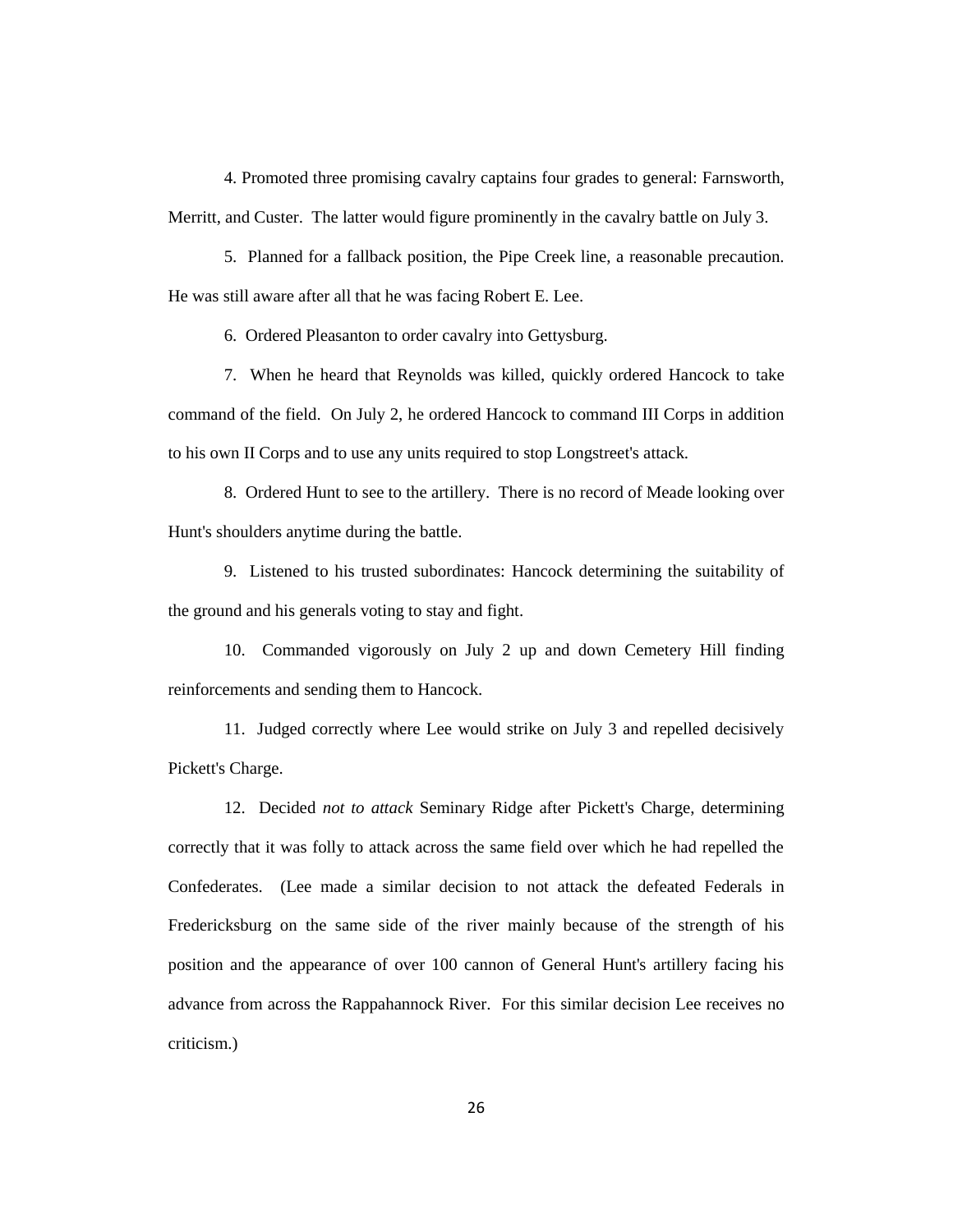4. Promoted three promising cavalry captains four grades to general: Farnsworth, Merritt, and Custer. The latter would figure prominently in the cavalry battle on July 3.

5. Planned for a fallback position, the Pipe Creek line, a reasonable precaution. He was still aware after all that he was facing Robert E. Lee.

6. Ordered Pleasanton to order cavalry into Gettysburg.

7. When he heard that Reynolds was killed, quickly ordered Hancock to take command of the field. On July 2, he ordered Hancock to command III Corps in addition to his own II Corps and to use any units required to stop Longstreet's attack.

8. Ordered Hunt to see to the artillery. There is no record of Meade looking over Hunt's shoulders anytime during the battle.

9. Listened to his trusted subordinates: Hancock determining the suitability of the ground and his generals voting to stay and fight.

10. Commanded vigorously on July 2 up and down Cemetery Hill finding reinforcements and sending them to Hancock.

11. Judged correctly where Lee would strike on July 3 and repelled decisively Pickett's Charge.

12. Decided *not to attack* Seminary Ridge after Pickett's Charge, determining correctly that it was folly to attack across the same field over which he had repelled the Confederates. (Lee made a similar decision to not attack the defeated Federals in Fredericksburg on the same side of the river mainly because of the strength of his position and the appearance of over 100 cannon of General Hunt's artillery facing his advance from across the Rappahannock River. For this similar decision Lee receives no criticism.)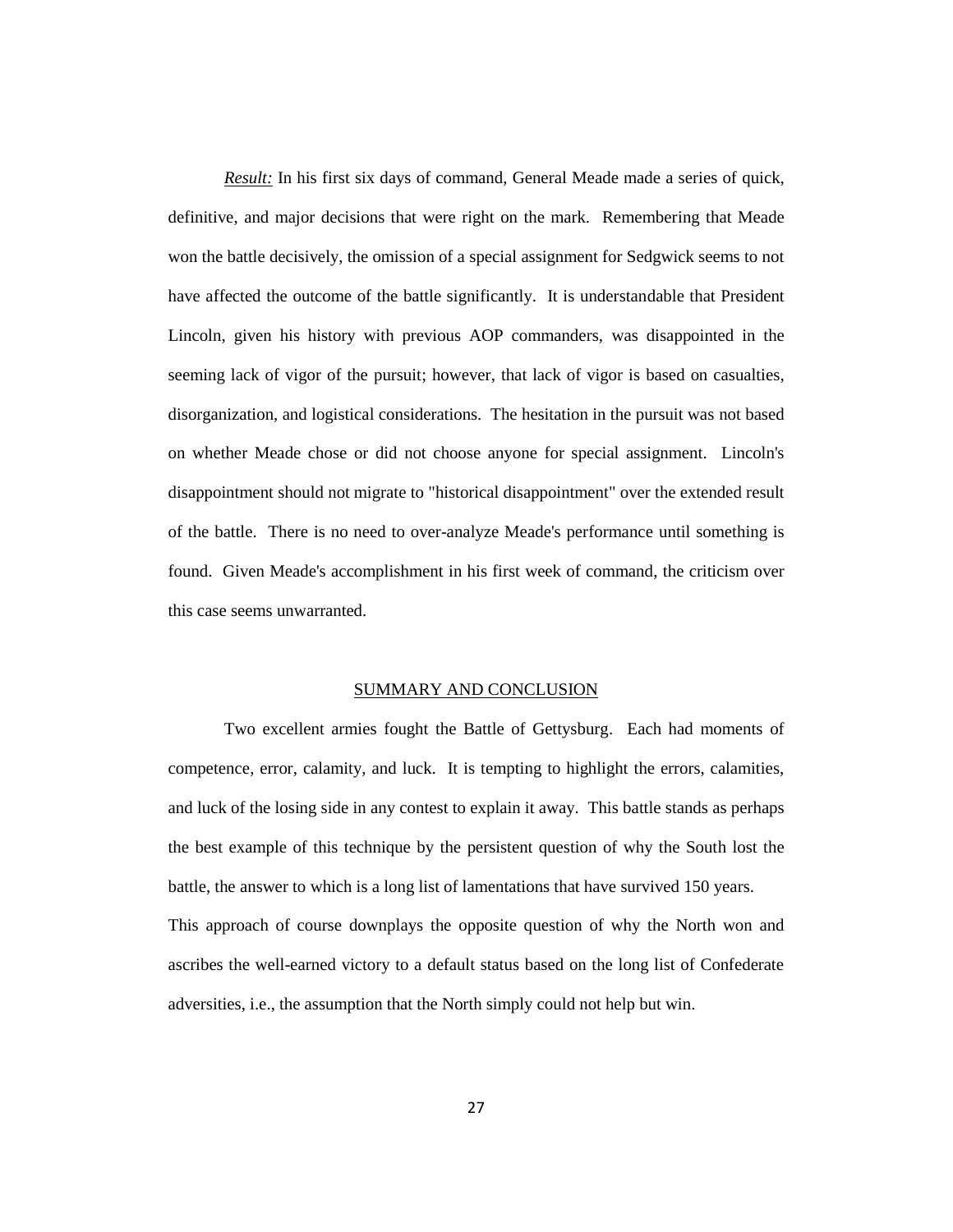*Result:* In his first six days of command, General Meade made a series of quick, definitive, and major decisions that were right on the mark. Remembering that Meade won the battle decisively, the omission of a special assignment for Sedgwick seems to not have affected the outcome of the battle significantly. It is understandable that President Lincoln, given his history with previous AOP commanders, was disappointed in the seeming lack of vigor of the pursuit; however, that lack of vigor is based on casualties, disorganization, and logistical considerations. The hesitation in the pursuit was not based on whether Meade chose or did not choose anyone for special assignment. Lincoln's disappointment should not migrate to "historical disappointment" over the extended result of the battle. There is no need to over-analyze Meade's performance until something is found. Given Meade's accomplishment in his first week of command, the criticism over this case seems unwarranted.

#### SUMMARY AND CONCLUSION

Two excellent armies fought the Battle of Gettysburg. Each had moments of competence, error, calamity, and luck. It is tempting to highlight the errors, calamities, and luck of the losing side in any contest to explain it away. This battle stands as perhaps the best example of this technique by the persistent question of why the South lost the battle, the answer to which is a long list of lamentations that have survived 150 years. This approach of course downplays the opposite question of why the North won and ascribes the well-earned victory to a default status based on the long list of Confederate adversities, i.e., the assumption that the North simply could not help but win.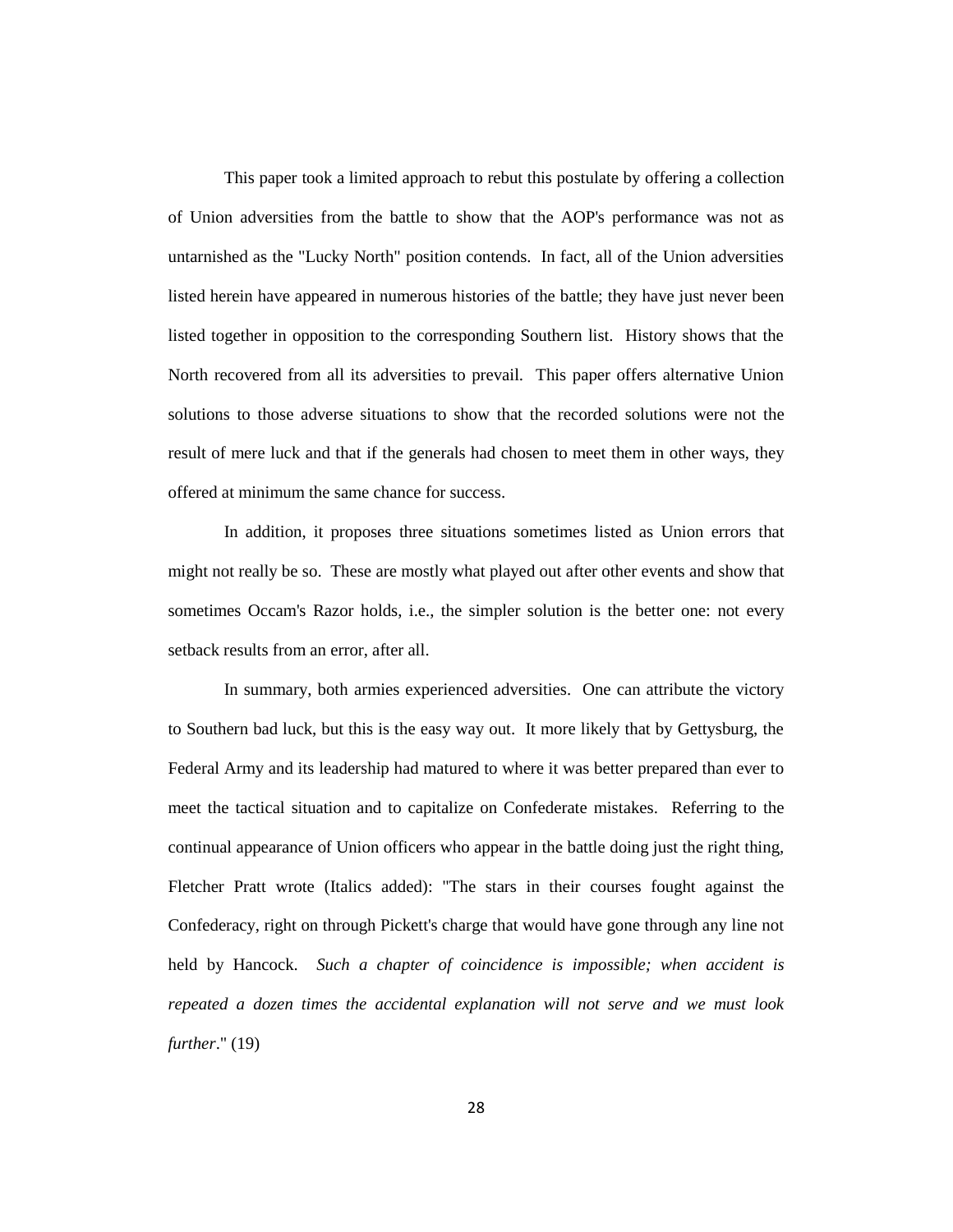This paper took a limited approach to rebut this postulate by offering a collection of Union adversities from the battle to show that the AOP's performance was not as untarnished as the "Lucky North" position contends. In fact, all of the Union adversities listed herein have appeared in numerous histories of the battle; they have just never been listed together in opposition to the corresponding Southern list. History shows that the North recovered from all its adversities to prevail. This paper offers alternative Union solutions to those adverse situations to show that the recorded solutions were not the result of mere luck and that if the generals had chosen to meet them in other ways, they offered at minimum the same chance for success.

In addition, it proposes three situations sometimes listed as Union errors that might not really be so. These are mostly what played out after other events and show that sometimes Occam's Razor holds, i.e., the simpler solution is the better one: not every setback results from an error, after all.

In summary, both armies experienced adversities. One can attribute the victory to Southern bad luck, but this is the easy way out. It more likely that by Gettysburg, the Federal Army and its leadership had matured to where it was better prepared than ever to meet the tactical situation and to capitalize on Confederate mistakes. Referring to the continual appearance of Union officers who appear in the battle doing just the right thing, Fletcher Pratt wrote (Italics added): "The stars in their courses fought against the Confederacy, right on through Pickett's charge that would have gone through any line not held by Hancock. *Such a chapter of coincidence is impossible; when accident is repeated a dozen times the accidental explanation will not serve and we must look further*." (19)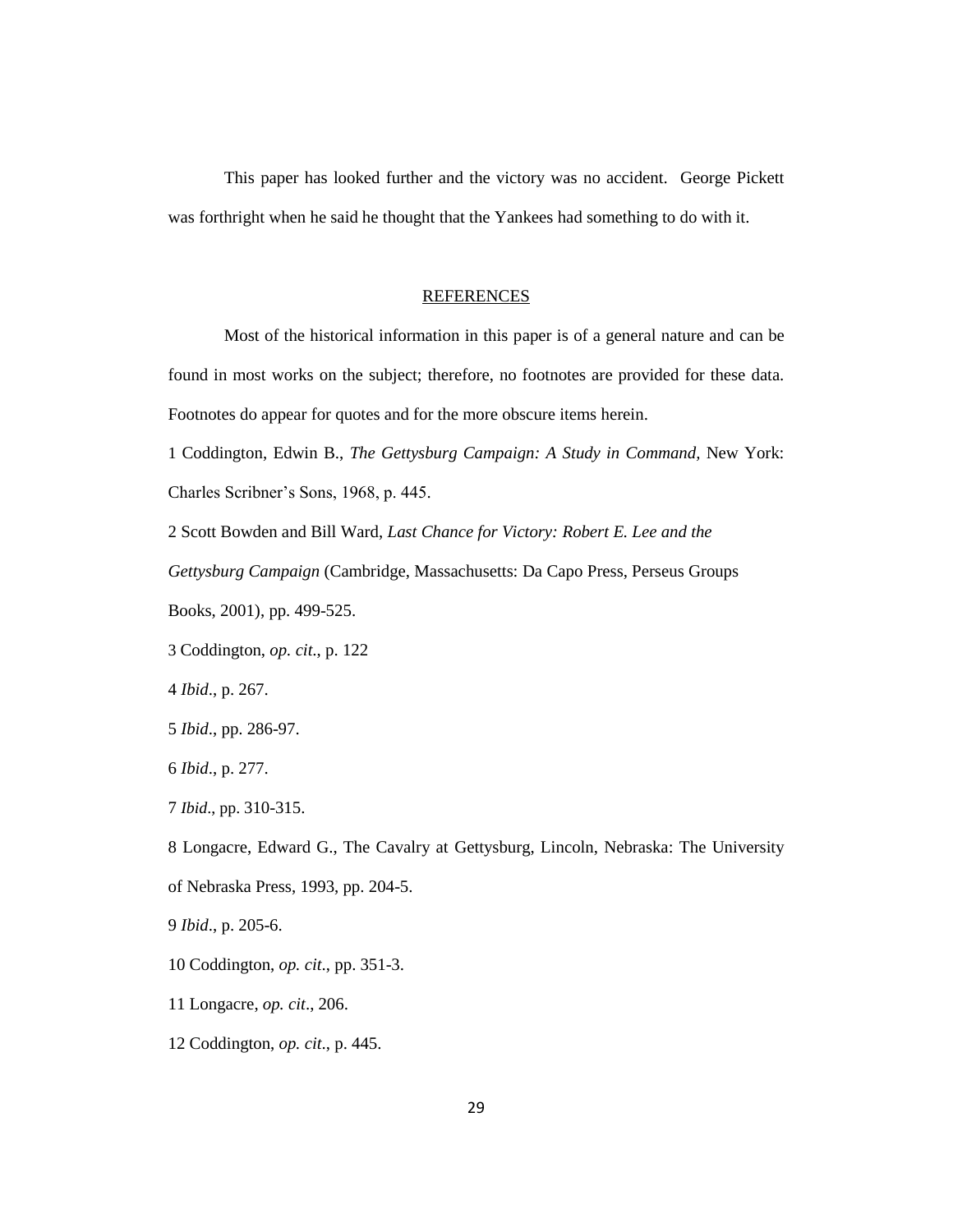This paper has looked further and the victory was no accident. George Pickett was forthright when he said he thought that the Yankees had something to do with it.

# REFERENCES

Most of the historical information in this paper is of a general nature and can be found in most works on the subject; therefore, no footnotes are provided for these data. Footnotes do appear for quotes and for the more obscure items herein.

1 Coddington, Edwin B., *The Gettysburg Campaign: A Study in Command,* New York: Charles Scribner's Sons, 1968, p. 445.

2 Scott Bowden and Bill Ward, *Last Chance for Victory: Robert E. Lee and the* 

*Gettysburg Campaign* (Cambridge, Massachusetts: Da Capo Press, Perseus Groups

Books, 2001), pp. 499-525.

3 Coddington, *op. cit*., p. 122

4 *Ibid*., p. 267.

5 *Ibid*., pp. 286-97.

6 *Ibid*., p. 277.

7 *Ibid*., pp. 310-315.

8 Longacre, Edward G., The Cavalry at Gettysburg, Lincoln, Nebraska: The University of Nebraska Press, 1993, pp. 204-5.

9 *Ibid*., p. 205-6.

10 Coddington, *op. cit*., pp. 351-3.

11 Longacre, *op. cit*., 206.

12 Coddington, *op. cit*., p. 445.